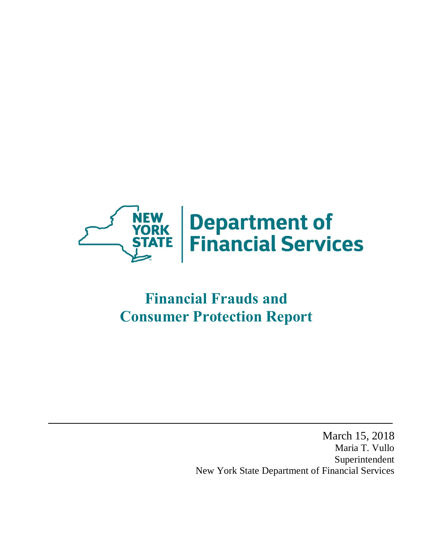

# **Consumer Protection Report Financial Frauds and**

 March 15, 2018 Maria T. Vullo New York State Department of Financial Services Superintendent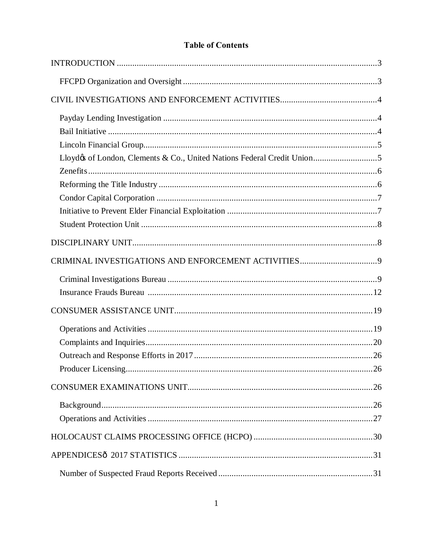# **Table of Contents**

| Lloydøs of London, Clements & Co., United Nations Federal Credit Union5 |  |
|-------------------------------------------------------------------------|--|
|                                                                         |  |
|                                                                         |  |
|                                                                         |  |
|                                                                         |  |
|                                                                         |  |
|                                                                         |  |
|                                                                         |  |
|                                                                         |  |
|                                                                         |  |
|                                                                         |  |
|                                                                         |  |
|                                                                         |  |
|                                                                         |  |
|                                                                         |  |
|                                                                         |  |
|                                                                         |  |
|                                                                         |  |
|                                                                         |  |
|                                                                         |  |
|                                                                         |  |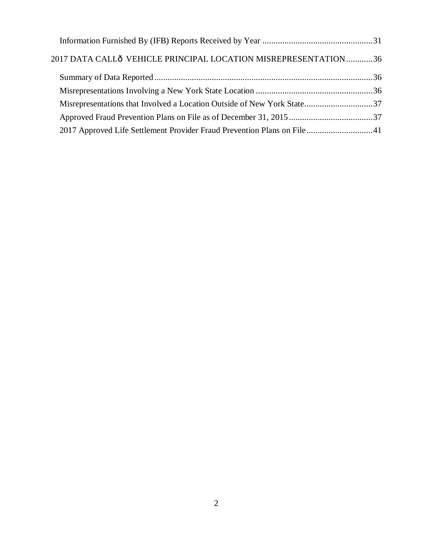| 2017 DATA CALLÔ VEHICLE PRINCIPAL LOCATION MISREPRESENTATION 36 |  |
|-----------------------------------------------------------------|--|
|                                                                 |  |
|                                                                 |  |
|                                                                 |  |
|                                                                 |  |
|                                                                 |  |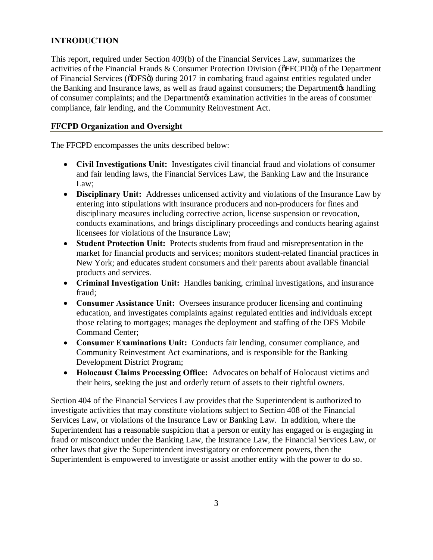# <span id="page-3-0"></span>**INTRODUCTION**

 This report, required under Section 409(b) of the Financial Services Law, summarizes the activities of the Financial Frauds & Consumer Protection Division ( $\delta$ FFCPD $\delta$ ) of the Department of Financial Services (õDFSö) during 2017 in combating fraud against entities regulated under the Banking and Insurance laws, as well as fraud against consumers; the Department & handling of consumer complaints; and the Department & examination activities in the areas of consumer compliance, fair lending, and the Community Reinvestment Act.

### **FFCPD Organization and Oversight**

The FFCPD encompasses the units described below:

- • **Civil Investigations Unit:** Investigates civil financial fraud and violations of consumer and fair lending laws, the Financial Services Law, the Banking Law and the Insurance Law;
- • **Disciplinary Unit:** Addresses unlicensed activity and violations of the Insurance Law by entering into stipulations with insurance producers and non-producers for fines and disciplinary measures including corrective action, license suspension or revocation, conducts examinations, and brings disciplinary proceedings and conducts hearing against licensees for violations of the Insurance Law;
- **Student Protection Unit:** Protects students from fraud and misrepresentation in the market for financial products and services; monitors student-related financial practices in New York; and educates student consumers and their parents about available financial products and services.
- • **Criminal Investigation Unit:** Handles banking, criminal investigations, and insurance fraud;
- • **Consumer Assistance Unit:** Oversees insurance producer licensing and continuing education, and investigates complaints against regulated entities and individuals except those relating to mortgages; manages the deployment and staffing of the DFS Mobile Command Center;
- • **Consumer Examinations Unit:** Conducts fair lending, consumer compliance, and Community Reinvestment Act examinations, and is responsible for the Banking Development District Program;
- **Holocaust Claims Processing Office:** Advocates on behalf of Holocaust victims and their heirs, seeking the just and orderly return of assets to their rightful owners.

 Section 404 of the Financial Services Law provides that the Superintendent is authorized to investigate activities that may constitute violations subject to Section 408 of the Financial Services Law, or violations of the Insurance Law or Banking Law. In addition, where the Superintendent has a reasonable suspicion that a person or entity has engaged or is engaging in fraud or misconduct under the Banking Law, the Insurance Law, the Financial Services Law, or other laws that give the Superintendent investigatory or enforcement powers, then the Superintendent is empowered to investigate or assist another entity with the power to do so.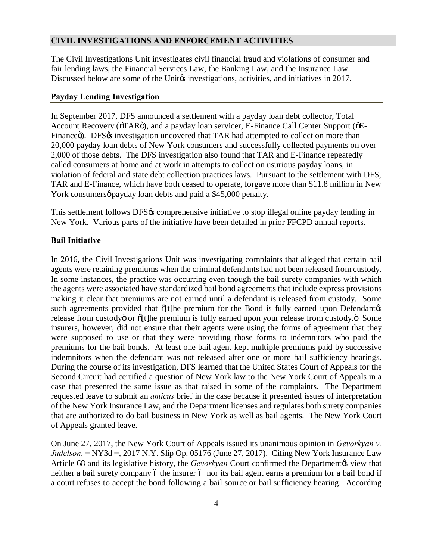# <span id="page-4-0"></span>**CIVIL INVESTIGATIONS AND ENFORCEMENT ACTIVITIES**

 The Civil Investigations Unit investigates civil financial fraud and violations of consumer and fair lending laws, the Financial Services Law, the Banking Law, and the Insurance Law. Discussed below are some of the Unite investigations, activities, and initiatives in 2017.

#### **Payday Lending Investigation**

 In September 2017, DFS announced a settlement with a payday loan debt collector, Total Account Recovery (öTARö), and a payday loan servicer, E-Finance Call Center Support (õE-Financeö). DFS $\alpha$  investigation uncovered that TAR had attempted to collect on more than 20,000 payday loan debts of New York consumers and successfully collected payments on over 2,000 of those debts. The DFS investigation also found that TAR and E-Finance repeatedly called consumers at home and at work in attempts to collect on usurious payday loans, in violation of federal and state debt collection practices laws. Pursuant to the settlement with DFS, TAR and E-Finance, which have both ceased to operate, forgave more than \$11.8 million in New York consumersø payday loan debts and paid a \$45,000 penalty.

This settlement follows DFS% comprehensive initiative to stop illegal online payday lending in New York. Various parts of the initiative have been detailed in prior FFCPD annual reports.

### **Bail Initiative**

 In 2016, the Civil Investigations Unit was investigating complaints that alleged that certain bail agents were retaining premiums when the criminal defendants had not been released from custody. In some instances, the practice was occurring even though the bail surety companies with which the agents were associated have standardized bail bond agreements that include express provisions making it clear that premiums are not earned until a defendant is released from custody. Some such agreements provided that  $\tilde{o}[t]$ he premium for the Bond is fully earned upon Defendantøs release from custodyö or õ[t]he premium is fully earned upon your release from custody.ö Some insurers, however, did not ensure that their agents were using the forms of agreement that they were supposed to use or that they were providing those forms to indemnitors who paid the premiums for the bail bonds. At least one bail agent kept multiple premiums paid by successive indemnitors when the defendant was not released after one or more bail sufficiency hearings. During the course of its investigation, DFS learned that the United States Court of Appeals for the Second Circuit had certified a question of New York law to the New York Court of Appeals in a case that presented the same issue as that raised in some of the complaints. The Department requested leave to submit an *amicus* brief in the case because it presented issues of interpretation of the New York Insurance Law, and the Department licenses and regulates both surety companies that are authorized to do bail business in New York as well as bail agents. The New York Court of Appeals granted leave.

 On June 27, 2017, the New York Court of Appeals issued its unanimous opinion in *Gevorkyan v. Judelson*, **−** NY3d **−**, 2017 N.Y. Slip Op. 05176 (June 27, 2017). Citing New York Insurance Law Article 68 and its legislative history, the *Gevorkyan* Court confirmed the Departmentøs view that neither a bail surety company ó the insurer ó nor its bail agent earns a premium for a bail bond if a court refuses to accept the bond following a bail source or bail sufficiency hearing. According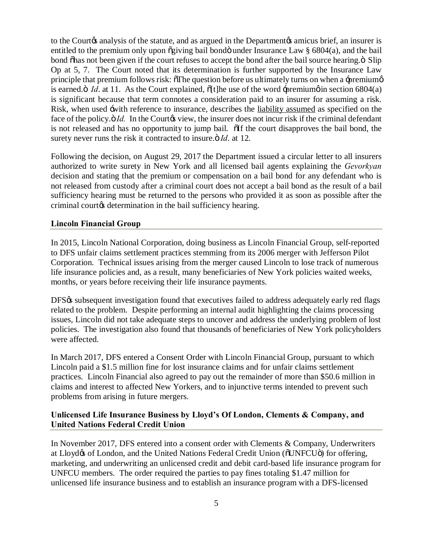<span id="page-5-0"></span>to the Courtos analysis of the statute, and as argued in the Departmentos amicus brief, an insurer is entitled to the premium only upon õgiving bail bondö under Insurance Law § 6804(a), and the bail bond õhas not been given if the court refuses to accept the bond after the bail source hearing. Ö Slip Op at 5, 7. The Court noted that its determination is further supported by the Insurance Law principle that premium follows risk:  $\delta$ The question before us ultimately turns on when a -premiume is earned. $\ddot{o}$  *Id.* at 11. As the Court explained,  $\ddot{o}$ [t]he use of the word  $\ddot{o}$ -premium $\phi$  in section 6804(a) is significant because that term connotes a consideration paid to an insurer for assuming a risk. Risk, when used -with reference to insurance, describes the liability assumed as specified on the face of the policy.  $\ddot{o}$  *Id.* In the Courto view, the insurer does not incur risk if the criminal defendant is not released and has no opportunity to jump bail. The court disapproves the bail bond, the surety never runs the risk it contracted to insure.<sup>3</sup> *Id*. at 12.

 Following the decision, on August 29, 2017 the Department issued a circular letter to all insurers authorized to write surety in New York and all licensed bail agents explaining the *Gevorkyan*  decision and stating that the premium or compensation on a bail bond for any defendant who is not released from custody after a criminal court does not accept a bail bond as the result of a bail sufficiency hearing must be returned to the persons who provided it as soon as possible after the criminal courtos determination in the bail sufficiency hearing.

### **Lincoln Financial Group**

 In 2015, Lincoln National Corporation, doing business as Lincoln Financial Group, self-reported to DFS unfair claims settlement practices stemming from its 2006 merger with Jefferson Pilot Corporation. Technical issues arising from the merger caused Lincoln to lose track of numerous life insurance policies and, as a result, many beneficiaries of New York policies waited weeks, months, or years before receiving their life insurance payments.

DFS% subsequent investigation found that executives failed to address adequately early red flags related to the problem. Despite performing an internal audit highlighting the claims processing issues, Lincoln did not take adequate steps to uncover and address the underlying problem of lost policies. The investigation also found that thousands of beneficiaries of New York policyholders were affected.

 In March 2017, DFS entered a Consent Order with Lincoln Financial Group, pursuant to which Lincoln paid a \$1.5 million fine for lost insurance claims and for unfair claims settlement practices. Lincoln Financial also agreed to pay out the remainder of more than \$50.6 million in claims and interest to affected New Yorkers, and to injunctive terms intended to prevent such problems from arising in future mergers.

### **Unlicensed Life Insurance Business by Lloyd's Of London, Clements & Company, and United Nations Federal Credit Union**

 In November 2017, DFS entered into a consent order with Clements & Company, Underwriters at Lloydøs of London, and the United Nations Federal Credit Union (õUNFCUö) for offering, marketing, and underwriting an unlicensed credit and debit card-based life insurance program for UNFCU members. The order required the parties to pay fines totaling \$1.47 million for unlicensed life insurance business and to establish an insurance program with a DFS-licensed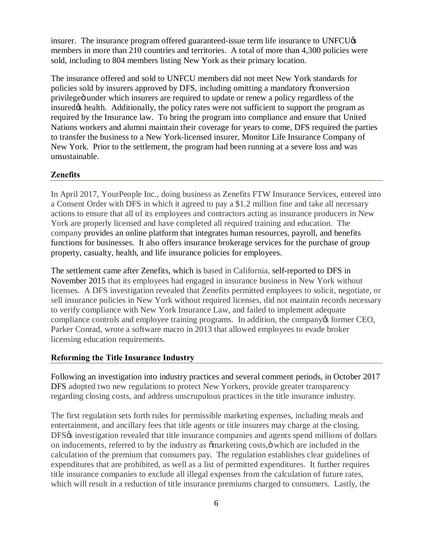<span id="page-6-0"></span>insurer. The insurance program offered guaranteed-issue term life insurance to UNFCU $\alpha$  members in more than 210 countries and territories. A total of more than 4,300 policies were sold, including to 804 members listing New York as their primary location.

 The insurance offered and sold to UNFCU members did not meet New York standards for policies sold by insurers approved by DFS, including omitting a mandatory  $\tilde{\text{co}}$ onversion privilegeö under which insurers are required to update or renew a policy regardless of the insured $\phi$  health. Additionally, the policy rates were not sufficient to support the program as required by the Insurance law. To bring the program into compliance and ensure that United Nations workers and alumni maintain their coverage for years to come, DFS required the parties to transfer the business to a New York-licensed insurer, Monitor Life Insurance Company of New York. Prior to the settlement, the program had been running at a severe loss and was unsustainable.

### **Zenefits**

 In April 2017, YourPeople Inc., doing business as Zenefits FTW Insurance Services, entered into a Consent Order with DFS in which it agreed to pay a \$1.2 million fine and take all necessary actions to ensure that all of its employees and contractors acting as insurance producers in New York are properly licensed and have completed all required training and education. The company provides an online platform that integrates human resources, payroll, and benefits functions for businesses. It also offers insurance brokerage services for the purchase of group property, casualty, health, and life insurance policies for employees.

 The settlement came after Zenefits, which is based in California, self-reported to DFS in November 2015 that its employees had engaged in insurance business in New York without licenses. A DFS investigation revealed that Zenefits permitted employees to solicit, negotiate, or sell insurance policies in New York without required licenses, did not maintain records necessary compliance controls and employee training programs. In addition, the company of former CEO, Parker Conrad, wrote a software macro in 2013 that allowed employees to evade broker to verify compliance with New York Insurance Law, and failed to implement adequate licensing education requirements.

### **Reforming the Title Insurance Industry**

 Following an investigation into industry practices and several comment periods, in October 2017 DFS adopted two new regulations to protect New Yorkers, provide greater transparency regarding closing costs, and address unscrupulous practices in the title insurance industry.

 The first regulation sets forth rules for permissible marketing expenses, including meals and entertainment, and ancillary fees that title agents or title insurers may charge at the closing. DFS% investigation revealed that title insurance companies and agents spend millions of dollars on inducements, referred to by the industry as  $\tilde{o}$ marketing costs, $\ddot{o}$  which are included in the calculation of the premium that consumers pay. The regulation establishes clear guidelines of expenditures that are prohibited, as well as a list of permitted expenditures. It further requires title insurance companies to exclude all illegal expenses from the calculation of future rates, which will result in a reduction of title insurance premiums charged to consumers. Lastly, the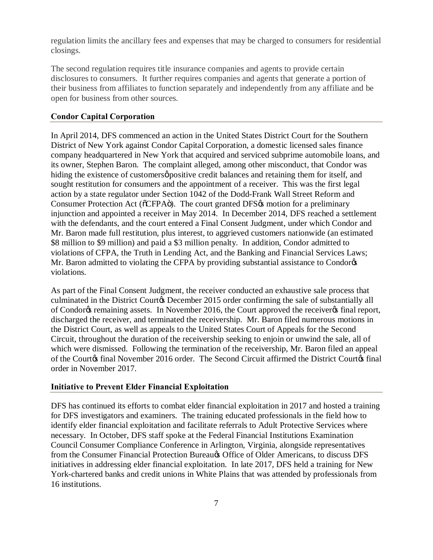<span id="page-7-0"></span> regulation limits the ancillary fees and expenses that may be charged to consumers for residential closings.

 The second regulation requires title insurance companies and agents to provide certain disclosures to consumers. It further requires companies and agents that generate a portion of their business from affiliates to function separately and independently from any affiliate and be open for business from other sources.

#### **Condor Capital Corporation**

 In April 2014, DFS commenced an action in the United States District Court for the Southern District of New York against Condor Capital Corporation, a domestic licensed sales finance its owner, Stephen Baron. The complaint alleged, among other misconduct, that Condor was hiding the existence of customersø positive credit balances and retaining them for itself, and sought restitution for consumers and the appointment of a receiver. This was the first legal action by a state regulator under Section 1042 of the Dodd-Frank Wall Street Reform and Consumer Protection Act (õCFPAö). The court granted DFS $\alpha$  motion for a preliminary injunction and appointed a receiver in May 2014. In December 2014, DFS reached a settlement with the defendants, and the court entered a Final Consent Judgment, under which Condor and Mr. Baron made full restitution, plus interest, to aggrieved customers nationwide (an estimated \$8 million to \$9 million) and paid a \$3 million penalty. In addition, Condor admitted to violations of CFPA, the Truth in Lending Act, and the Banking and Financial Services Laws; Mr. Baron admitted to violating the CFPA by providing substantial assistance to Condorøs violations. violations.<br>As part of the Final Consent Judgment, the receiver conducted an exhaustive sale process that company headquartered in New York that acquired and serviced subprime automobile loans, and

culminated in the District Courtos December 2015 order confirming the sale of substantially all of Condor $\alpha$  remaining assets. In November 2016, the Court approved the receiver $\alpha$  final report, discharged the receiver, and terminated the receivership. Mr. Baron filed numerous motions in the District Court, as well as appeals to the United States Court of Appeals for the Second Circuit, throughout the duration of the receivership seeking to enjoin or unwind the sale, all of which were dismissed. Following the termination of the receivership, Mr. Baron filed an appeal of the Courtøs final November 2016 order. The Second Circuit affirmed the District Courtøs final order in November 2017.

#### **Initiative to Prevent Elder Financial Exploitation**

 DFS has continued its efforts to combat elder financial exploitation in 2017 and hosted a training for DFS investigators and examiners. The training educated professionals in the field how to identify elder financial exploitation and facilitate referrals to Adult Protective Services where necessary. In October, DFS staff spoke at the Federal Financial Institutions Examination Council Consumer Compliance Conference in Arlington, Virginia, alongside representatives from the Consumer Financial Protection Bureau $\alpha$  Office of Older Americans, to discuss DFS initiatives in addressing elder financial exploitation. In late 2017, DFS held a training for New York-chartered banks and credit unions in White Plains that was attended by professionals from 16 institutions.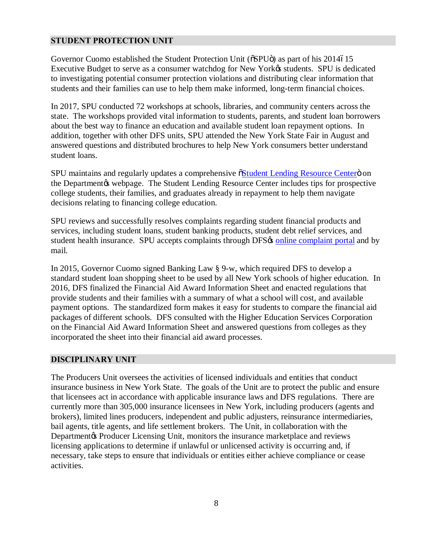### <span id="page-8-0"></span>**STUDENT PROTECTION UNIT**

Governor Cuomo established the Student Protection Unit ( $\delta$ SPU $\ddot{\text{o}}$ ) as part of his 2014615 Executive Budget to serve as a consumer watchdog for New Yorkøs students. SPU is dedicated to investigating potential consumer protection violations and distributing clear information that students and their families can use to help them make informed, long-term financial choices.

 In 2017, SPU conducted 72 workshops at schools, libraries, and community centers across the state. The workshops provided vital information to students, parents, and student loan borrowers about the best way to finance an education and available student loan repayment options. In addition, together with other DFS units, SPU attended the New York State Fair in August and answered questions and distributed brochures to help New York consumers better understand student loans.

SPU maintains and regularly updates a comprehensive östudent Lending Resource Centero on the Department & webpage. The Student Lending Resource Center includes tips for prospective college students, their families, and graduates already in repayment to help them navigate decisions relating to financing college education.

 SPU reviews and successfully resolves complaints regarding student financial products and services, including student loans, student banking products, student debt relief services, and student health insurance. SPU accepts complaints through DFS $\alpha$  online complaint portal and by mail.

 In 2015, Governor Cuomo signed Banking Law § 9-w, which required DFS to develop a standard student loan shopping sheet to be used by all New York schools of higher education. In 2016, DFS finalized the Financial Aid Award Information Sheet and enacted regulations that provide students and their families with a summary of what a school will cost, and available payment options. The standardized form makes it easy for students to compare the financial aid packages of different schools. DFS consulted with the Higher Education Services Corporation on the Financial Aid Award Information Sheet and answered questions from colleges as they incorporated the sheet into their financial aid award processes.

### **DISCIPLINARY UNIT**

 The Producers Unit oversees the activities of licensed individuals and entities that conduct insurance business in New York State. The goals of the Unit are to protect the public and ensure that licensees act in accordance with applicable insurance laws and DFS regulations. There are currently more than 305,000 insurance licensees in New York, including producers (agents and brokers), limited lines producers, independent and public adjusters, reinsurance intermediaries, bail agents, title agents, and life settlement brokers. The Unit, in collaboration with the Department & Producer Licensing Unit, monitors the insurance marketplace and reviews licensing applications to determine if unlawful or unlicensed activity is occurring and, if necessary, take steps to ensure that individuals or entities either achieve compliance or cease activities. activities. 8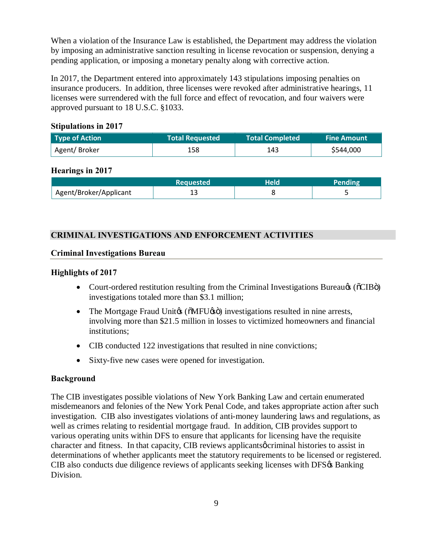When a violation of the Insurance Law is established, the Department may address the violation by imposing an administrative sanction resulting in license revocation or suspension, denying a pending application, or imposing a monetary penalty along with corrective action.

 In 2017, the Department entered into approximately 143 stipulations imposing penalties on insurance producers. In addition, three licenses were revoked after administrative hearings, 11 licenses were surrendered with the full force and effect of revocation, and four waivers were approved pursuant to 18 U.S.C. §1033.

### **Stipulations in 2017**

| Type of Action | <b>Total Requested</b> | <b>Total Completed</b> | <b>Fine Amount</b> |
|----------------|------------------------|------------------------|--------------------|
| Agent/Broker   | 158                    | 143                    | \$544,000          |

# **Hearings in 2017**

|                        | Requested |  |
|------------------------|-----------|--|
| Agent/Broker/Applicant | ∸-        |  |

# **CRIMINAL INVESTIGATIONS AND ENFORCEMENT ACTIVITIES**

### **Criminal Investigations Bureau**

# **Highlights of 2017**

- Court-ordered restitution resulting from the Criminal Investigations Bureau $\otimes$  ( $\delta$ CIB $\ddot{\circ}$ ) investigations totaled more than \$3.1 million;
- The Mortgage Fraud Unitøs ( $\delta$ MFU $\delta$ sö) investigations resulted in nine arrests, involving more than \$21.5 million in losses to victimized homeowners and financial institutions;
- CIB conducted 122 investigations that resulted in nine convictions;
- Sixty-five new cases were opened for investigation.

# **Background**

 The CIB investigates possible violations of New York Banking Law and certain enumerated misdemeanors and felonies of the New York Penal Code, and takes appropriate action after such investigation. CIB also investigates violations of anti-money laundering laws and regulations, as well as crimes relating to residential mortgage fraud. In addition, CIB provides support to various operating units within DFS to ensure that applicants for licensing have the requisite character and fitness. In that capacity, CIB reviews applicants ocriminal histories to assist in determinations of whether applicants meet the statutory requirements to be licensed or registered. CIB also conducts due diligence reviews of applicants seeking licenses with DFS& Banking Division.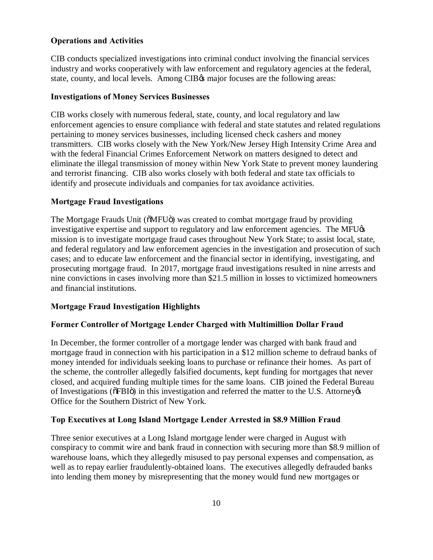### **Operations and Activities**

 CIB conducts specialized investigations into criminal conduct involving the financial services industry and works cooperatively with law enforcement and regulatory agencies at the federal, state, county, and local levels. Among CIB $\alpha$  major focuses are the following areas:

### **Investigations of Money Services Businesses**

 CIB works closely with numerous federal, state, county, and local regulatory and law enforcement agencies to ensure compliance with federal and state statutes and related regulations pertaining to money services businesses, including licensed check cashers and money transmitters. CIB works closely with the New York/New Jersey High Intensity Crime Area and with the federal Financial Crimes Enforcement Network on matters designed to detect and eliminate the illegal transmission of money within New York State to prevent money laundering and terrorist financing. CIB also works closely with both federal and state tax officials to identify and prosecute individuals and companies for tax avoidance activities.

#### **Mortgage Fraud Investigations**

The Mortgage Frauds Unit (õMFUö) was created to combat mortgage fraud by providing investigative expertise and support to regulatory and law enforcement agencies. The MFU $\alpha$  mission is to investigate mortgage fraud cases throughout New York State; to assist local, state, and federal regulatory and law enforcement agencies in the investigation and prosecution of such cases; and to educate law enforcement and the financial sector in identifying, investigating, and prosecuting mortgage fraud. In 2017, mortgage fraud investigations resulted in nine arrests and nine convictions in cases involving more than \$21.5 million in losses to victimized homeowners and financial institutions.

### **Mortgage Fraud Investigation Highlights**

#### **Former Controller of Mortgage Lender Charged with Multimillion Dollar Fraud**

 In December, the former controller of a mortgage lender was charged with bank fraud and mortgage fraud in connection with his participation in a \$12 million scheme to defraud banks of money intended for individuals seeking loans to purchase or refinance their homes. As part of the scheme, the controller allegedly falsified documents, kept funding for mortgages that never closed, and acquired funding multiple times for the same loans. CIB joined the Federal Bureau of Investigations ( $\delta$ FBI $\ddot{\rm o}$ ) in this investigation and referred the matter to the U.S. Attorney  $\alpha$ Office for the Southern District of New York.

### **Top Executives at Long Island Mortgage Lender Arrested in \$8.9 Million Fraud**

 Three senior executives at a Long Island mortgage lender were charged in August with conspiracy to commit wire and bank fraud in connection with securing more than \$8.9 million of warehouse loans, which they allegedly misused to pay personal expenses and compensation, as well as to repay earlier fraudulently-obtained loans. The executives allegedly defrauded banks into lending them money by misrepresenting that the money would fund new mortgages or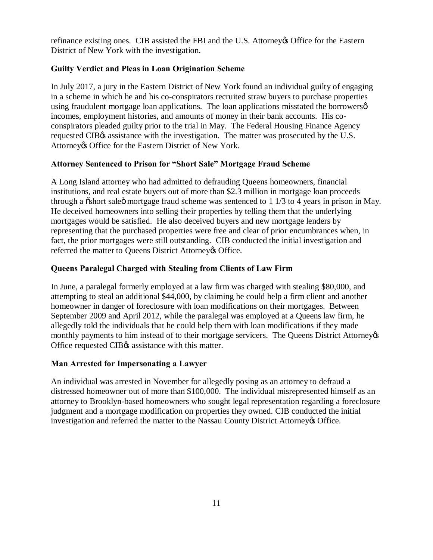refinance existing ones. CIB assisted the FBI and the U.S. Attorney of Office for the Eastern District of New York with the investigation.

# **Guilty Verdict and Pleas in Loan Origination Scheme**

 In July 2017, a jury in the Eastern District of New York found an individual guilty of engaging in a scheme in which he and his co-conspirators recruited straw buyers to purchase properties using fraudulent mortgage loan applications. The loan applications misstated the borrowerse incomes, employment histories, and amounts of money in their bank accounts. His co- conspirators pleaded guilty prior to the trial in May. The Federal Housing Finance Agency requested CIB $\alpha$  assistance with the investigation. The matter was prosecuted by the U.S. Attorney & Office for the Eastern District of New York.

# **Attorney Sentenced to Prison for "Short Sale" Mortgage Fraud Scheme**

 A Long Island attorney who had admitted to defrauding Queens homeowners, financial institutions, and real estate buyers out of more than \$2.3 million in mortgage loan proceeds through a  $\ddot{\text{o}}$ short sale $\ddot{\text{o}}$  mortgage fraud scheme was sentenced to 1 1/3 to 4 years in prison in May. He deceived homeowners into selling their properties by telling them that the underlying mortgages would be satisfied. He also deceived buyers and new mortgage lenders by representing that the purchased properties were free and clear of prior encumbrances when, in fact, the prior mortgages were still outstanding. CIB conducted the initial investigation and referred the matter to Queens District Attorney & Office.

# **Queens Paralegal Charged with Stealing from Clients of Law Firm**

 In June, a paralegal formerly employed at a law firm was charged with stealing \$80,000, and attempting to steal an additional \$44,000, by claiming he could help a firm client and another homeowner in danger of foreclosure with loan modifications on their mortgages. Between September 2009 and April 2012, while the paralegal was employed at a Queens law firm, he allegedly told the individuals that he could help them with loan modifications if they made monthly payments to him instead of to their mortgage servicers. The Queens District Attorney  $\frac{1}{100}$ Office requested CIB $\alpha$  assistance with this matter.

# **Man Arrested for Impersonating a Lawyer**

 An individual was arrested in November for allegedly posing as an attorney to defraud a distressed homeowner out of more than \$100,000. The individual misrepresented himself as an attorney to Brooklyn-based homeowners who sought legal representation regarding a foreclosure judgment and a mortgage modification on properties they owned. CIB conducted the initial investigation and referred the matter to the Nassau County District Attorney & Office.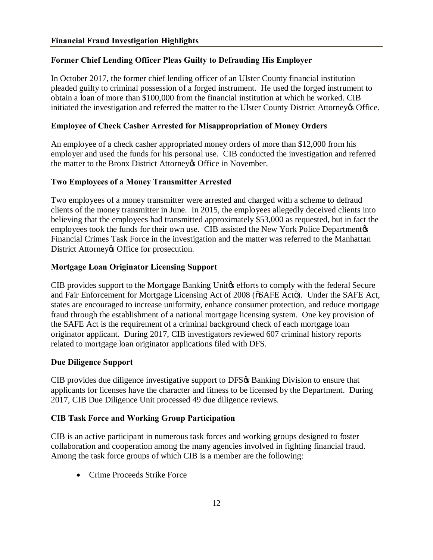# <span id="page-12-0"></span> **Former Chief Lending Officer Pleas Guilty to Defrauding His Employer**

 In October 2017, the former chief lending officer of an Ulster County financial institution pleaded guilty to criminal possession of a forged instrument. He used the forged instrument to obtain a loan of more than \$100,000 from the financial institution at which he worked. CIB initiated the investigation and referred the matter to the Ulster County District Attorney of Office.

# **Employee of Check Casher Arrested for Misappropriation of Money Orders**

 An employee of a check casher appropriated money orders of more than \$12,000 from his employer and used the funds for his personal use. CIB conducted the investigation and referred the matter to the Bronx District Attorney & Office in November.

# **Two Employees of a Money Transmitter Arrested**

 Two employees of a money transmitter were arrested and charged with a scheme to defraud clients of the money transmitter in June. In 2015, the employees allegedly deceived clients into believing that the employees had transmitted approximately \$53,000 as requested, but in fact the employees took the funds for their own use. CIB assisted the New York Police Departmentøs Financial Crimes Task Force in the investigation and the matter was referred to the Manhattan District Attorney & Office for prosecution.

# **Mortgage Loan Originator Licensing Support**

CIB provides support to the Mortgage Banking Unitos efforts to comply with the federal Secure and Fair Enforcement for Mortgage Licensing Act of 2008 ( $\delta$ SAFE Acto). Under the SAFE Act, states are encouraged to increase uniformity, enhance consumer protection, and reduce mortgage fraud through the establishment of a national mortgage licensing system. One key provision of the SAFE Act is the requirement of a criminal background check of each mortgage loan originator applicant. During 2017, CIB investigators reviewed 607 criminal history reports related to mortgage loan originator applications filed with DFS.

# **Due Diligence Support**

CIB provides due diligence investigative support to DFS $\alpha$  Banking Division to ensure that applicants for licenses have the character and fitness to be licensed by the Department. During 2017, CIB Due Diligence Unit processed 49 due diligence reviews.

# **CIB Task Force and Working Group Participation**

 CIB is an active participant in numerous task forces and working groups designed to foster collaboration and cooperation among the many agencies involved in fighting financial fraud. Among the task force groups of which CIB is a member are the following:

• Crime Proceeds Strike Force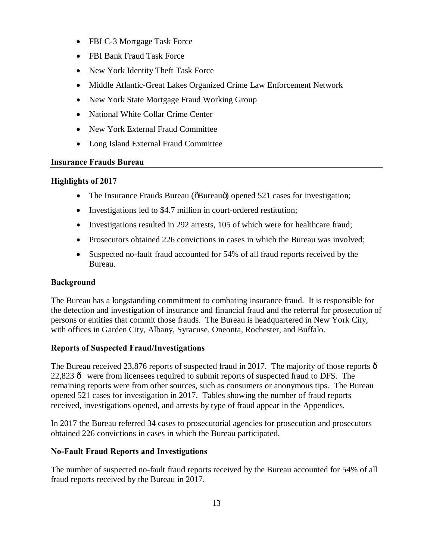- FBI C-3 Mortgage Task Force
- FBI Bank Fraud Task Force
- New York Identity Theft Task Force
- Middle Atlantic-Great Lakes Organized Crime Law Enforcement Network
- New York State Mortgage Fraud Working Group
- National White Collar Crime Center
- New York External Fraud Committee
- Long Island External Fraud Committee

# **Insurance Frauds Bureau**

# **Highlights of 2017**

- The Insurance Frauds Bureau ( $\delta$ Bureauö) opened 521 cases for investigation;
- Investigations led to \$4.7 million in court-ordered restitution;
- Investigations resulted in 292 arrests, 105 of which were for healthcare fraud;
- Prosecutors obtained 226 convictions in cases in which the Bureau was involved;
- • Suspected no-fault fraud accounted for 54% of all fraud reports received by the Bureau.

# **Background**

 The Bureau has a longstanding commitment to combating insurance fraud. It is responsible for the detection and investigation of insurance and financial fraud and the referral for prosecution of persons or entities that commit those frauds. The Bureau is headquartered in New York City, with offices in Garden City, Albany, Syracuse, Oneonta, Rochester, and Buffalo.

# **Reports of Suspected Fraud/Investigations**

The Bureau received 23,876 reports of suspected fraud in 2017. The majority of those reports  $\hat{o}$  $22,823$   $\hat{\text{o}}$  were from licensees required to submit reports of suspected fraud to DFS. The remaining reports were from other sources, such as consumers or anonymous tips. The Bureau opened 521 cases for investigation in 2017. Tables showing the number of fraud reports received, investigations opened, and arrests by type of fraud appear in the Appendices.

 In 2017 the Bureau referred 34 cases to prosecutorial agencies for prosecution and prosecutors obtained 226 convictions in cases in which the Bureau participated.

# **No-Fault Fraud Reports and Investigations**

 The number of suspected no-fault fraud reports received by the Bureau accounted for 54% of all fraud reports received by the Bureau in 2017.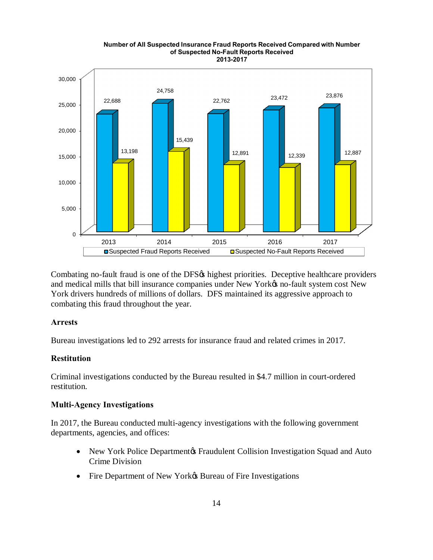

Combating no-fault fraud is one of the DFS $\alpha$  highest priorities. Deceptive healthcare providers and medical mills that bill insurance companies under New York $\alpha$  no-fault system cost New York drivers hundreds of millions of dollars. DFS maintained its aggressive approach to combating this fraud throughout the year.

### **Arrests**

Bureau investigations led to 292 arrests for insurance fraud and related crimes in 2017.

#### **Restitution**

 Criminal investigations conducted by the Bureau resulted in \$4.7 million in court-ordered restitution.

#### **Multi-Agency Investigations**

 In 2017, the Bureau conducted multi-agency investigations with the following government departments, agencies, and offices:

- New York Police Department & Fraudulent Collision Investigation Squad and Auto Crime Division
- Fire Department of New York $\&$  Bureau of Fire Investigations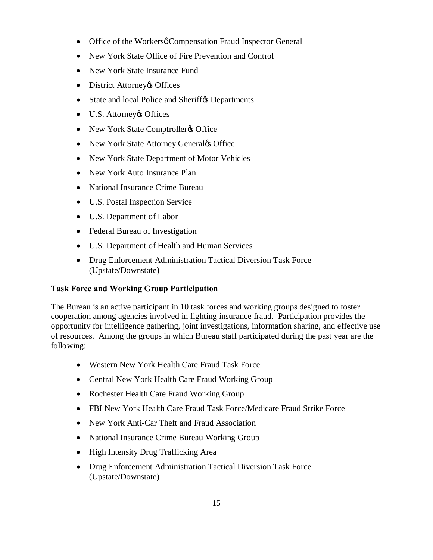- Office of the Workersø Compensation Fraud Inspector General
- New York State Office of Fire Prevention and Control
- New York State Insurance Fund
- District Attorney & Offices
- State and local Police and Sheriff $\alpha$  Departments
- U.S. Attorney & Offices
- New York State Comptroller & Office
- New York State Attorney Generaløs Office
- New York State Department of Motor Vehicles
- New York Auto Insurance Plan
- National Insurance Crime Bureau
- U.S. Postal Inspection Service
- U.S. Department of Labor
- Federal Bureau of Investigation
- U.S. Department of Health and Human Services
- • Drug Enforcement Administration Tactical Diversion Task Force (Upstate/Downstate)

# **Task Force and Working Group Participation**

 The Bureau is an active participant in 10 task forces and working groups designed to foster cooperation among agencies involved in fighting insurance fraud. Participation provides the opportunity for intelligence gathering, joint investigations, information sharing, and effective use of resources. Among the groups in which Bureau staff participated during the past year are the following:

- Western New York Health Care Fraud Task Force
- Central New York Health Care Fraud Working Group
- Rochester Health Care Fraud Working Group
- FBI New York Health Care Fraud Task Force/Medicare Fraud Strike Force
- New York Anti-Car Theft and Fraud Association
- National Insurance Crime Bureau Working Group
- High Intensity Drug Trafficking Area
- • Drug Enforcement Administration Tactical Diversion Task Force (Upstate/Downstate)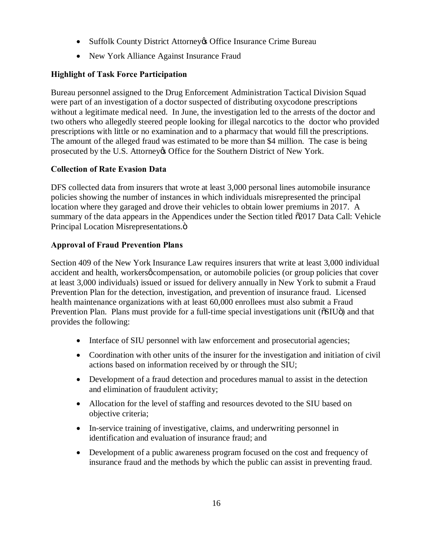- Suffolk County District Attorney & Office Insurance Crime Bureau
- New York Alliance Against Insurance Fraud

# **Highlight of Task Force Participation**

 Bureau personnel assigned to the Drug Enforcement Administration Tactical Division Squad were part of an investigation of a doctor suspected of distributing oxycodone prescriptions without a legitimate medical need. In June, the investigation led to the arrests of the doctor and two others who allegedly steered people looking for illegal narcotics to the doctor who provided prescriptions with little or no examination and to a pharmacy that would fill the prescriptions. The amount of the alleged fraud was estimated to be more than \$4 million. The case is being prosecuted by the U.S. Attorney & Office for the Southern District of New York.

# **Collection of Rate Evasion Data**

 DFS collected data from insurers that wrote at least 3,000 personal lines automobile insurance policies showing the number of instances in which individuals misrepresented the principal location where they garaged and drove their vehicles to obtain lower premiums in 2017. A summary of the data appears in the Appendices under the Section titled  $\delta$ 2017 Data Call: Vehicle Principal Location Misrepresentations.ö

# **Approval of Fraud Prevention Plans**

 Section 409 of the New York Insurance Law requires insurers that write at least 3,000 individual accident and health, workersø compensation, or automobile policies (or group policies that cover at least 3,000 individuals) issued or issued for delivery annually in New York to submit a Fraud Prevention Plan for the detection, investigation, and prevention of insurance fraud. Licensed health maintenance organizations with at least 60,000 enrollees must also submit a Fraud Prevention Plan. Plans must provide for a full-time special investigations unit ( $\delta$ SIU $\ddot{\text{o}}$ ) and that provides the following:

- Interface of SIU personnel with law enforcement and prosecutorial agencies;
- • Coordination with other units of the insurer for the investigation and initiation of civil actions based on information received by or through the SIU;
- • Development of a fraud detection and procedures manual to assist in the detection and elimination of fraudulent activity;
- • Allocation for the level of staffing and resources devoted to the SIU based on objective criteria;
- • In-service training of investigative, claims, and underwriting personnel in identification and evaluation of insurance fraud; and
- • Development of a public awareness program focused on the cost and frequency of insurance fraud and the methods by which the public can assist in preventing fraud.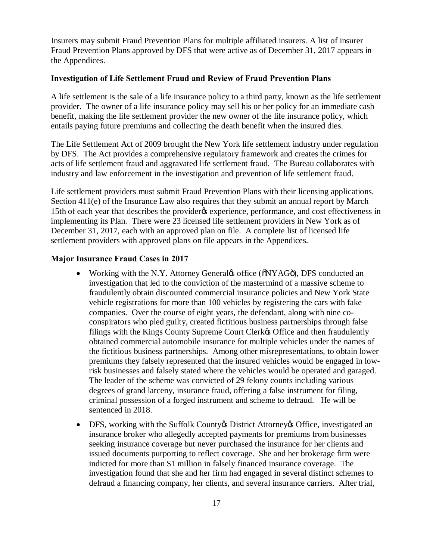Insurers may submit Fraud Prevention Plans for multiple affiliated insurers. A list of insurer Fraud Prevention Plans approved by DFS that were active as of December 31, 2017 appears in the Appendices.

### **Investigation of Life Settlement Fraud and Review of Fraud Prevention Plans**

 A life settlement is the sale of a life insurance policy to a third party, known as the life settlement provider. The owner of a life insurance policy may sell his or her policy for an immediate cash benefit, making the life settlement provider the new owner of the life insurance policy, which entails paying future premiums and collecting the death benefit when the insured dies.

 The Life Settlement Act of 2009 brought the New York life settlement industry under regulation by DFS. The Act provides a comprehensive regulatory framework and creates the crimes for acts of life settlement fraud and aggravated life settlement fraud. The Bureau collaborates with industry and law enforcement in the investigation and prevention of life settlement fraud.

 Life settlement providers must submit Fraud Prevention Plans with their licensing applications. Section 411(e) of the Insurance Law also requires that they submit an annual report by March 15th of each year that describes the provider & experience, performance, and cost effectiveness in implementing its Plan. There were 23 licensed life settlement providers in New York as of December 31, 2017, each with an approved plan on file. A complete list of licensed life settlement providers with approved plans on file appears in the Appendices.

### **Major Insurance Fraud Cases in 2017**

- Working with the N.Y. Attorney General to office ( $\delta$ NYAGö), DFS conducted an investigation that led to the conviction of the mastermind of a massive scheme to fraudulently obtain discounted commercial insurance policies and New York State vehicle registrations for more than 100 vehicles by registering the cars with fake companies. Over the course of eight years, the defendant, along with nine co- conspirators who pled guilty, created fictitious business partnerships through false filings with the Kings County Supreme Court Clerk& Office and then fraudulently obtained commercial automobile insurance for multiple vehicles under the names of the fictitious business partnerships. Among other misrepresentations, to obtain lower premiums they falsely represented that the insured vehicles would be engaged in low- risk businesses and falsely stated where the vehicles would be operated and garaged. The leader of the scheme was convicted of 29 felony counts including various degrees of grand larceny, insurance fraud, offering a false instrument for filing, criminal possession of a forged instrument and scheme to defraud. He will be sentenced in 2018.
- DFS, working with the Suffolk County & District Attorney & Office, investigated an insurance broker who allegedly accepted payments for premiums from businesses seeking insurance coverage but never purchased the insurance for her clients and issued documents purporting to reflect coverage. She and her brokerage firm were indicted for more than \$1 million in falsely financed insurance coverage. The investigation found that she and her firm had engaged in several distinct schemes to defraud a financing company, her clients, and several insurance carriers. After trial,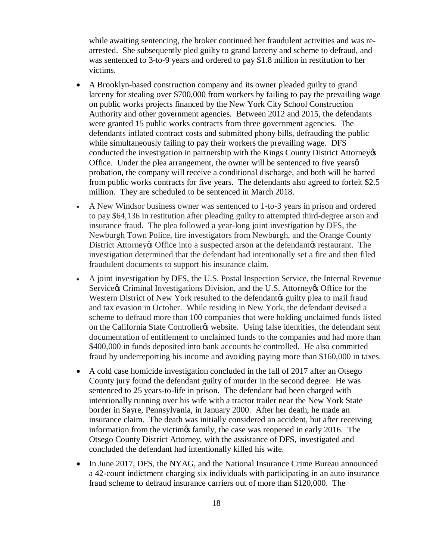while awaiting sentencing, the broker continued her fraudulent activities and was re- arrested. She subsequently pled guilty to grand larceny and scheme to defraud, and was sentenced to 3-to-9 years and ordered to pay \$1.8 million in restitution to her victims.

- • A Brooklyn-based construction company and its owner pleaded guilty to grand larceny for stealing over \$700,000 from workers by failing to pay the prevailing wage on public works projects financed by the New York City School Construction Authority and other government agencies. Between 2012 and 2015, the defendants were granted 15 public works contracts from three government agencies. The defendants inflated contract costs and submitted phony bills, defrauding the public while simultaneously failing to pay their workers the prevailing wage. DFS conducted the investigation in partnership with the Kings County District Attorney  $\alpha$ Office. Under the plea arrangement, the owner will be sentenced to five yearse probation, the company will receive a conditional discharge, and both will be barred from public works contracts for five years. The defendants also agreed to forfeit \$2.5 million. They are scheduled to be sentenced in March 2018.
- • A New Windsor business owner was sentenced to 1-to-3 years in prison and ordered to pay \$64,136 in restitution after pleading guilty to attempted third-degree arson and insurance fraud. The plea followed a year-long joint investigation by DFS, the Newburgh Town Police, fire investigators from Newburgh, and the Orange County District Attorney & Office into a suspected arson at the defendant & restaurant. The investigation determined that the defendant had intentionally set a fire and then filed fraudulent documents to support his insurance claim.
- • A joint investigation by DFS, the U.S. Postal Inspection Service, the Internal Revenue Service¢s Criminal Investigations Division, and the U.S. Attorney¢s Office for the Western District of New York resulted to the defendant aguilty plea to mail fraud and tax evasion in October. While residing in New York, the defendant devised a scheme to defraud more than 100 companies that were holding unclaimed funds listed on the California State Controllerøs website. Using false identities, the defendant sent documentation of entitlement to unclaimed funds to the companies and had more than \$400,000 in funds deposited into bank accounts he controlled. He also committed fraud by underreporting his income and avoiding paying more than \$160,000 in taxes.
- • A cold case homicide investigation concluded in the fall of 2017 after an Otsego County jury found the defendant guilty of murder in the second degree. He was sentenced to 25 years-to-life in prison. The defendant had been charged with intentionally running over his wife with a tractor trailer near the New York State border in Sayre, Pennsylvania, in January 2000. After her death, he made an insurance claim. The death was initially considered an accident, but after receiving information from the victimes family, the case was reopened in early 2016. The Otsego County District Attorney, with the assistance of DFS, investigated and concluded the defendant had intentionally killed his wife.
- • In June 2017, DFS, the NYAG, and the National Insurance Crime Bureau announced a 42-count indictment charging six individuals with participating in an auto insurance fraud scheme to defraud insurance carriers out of more than \$120,000. The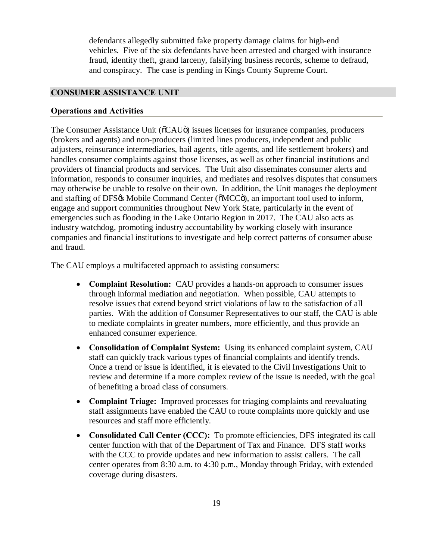<span id="page-19-0"></span> defendants allegedly submitted fake property damage claims for high-end vehicles. Five of the six defendants have been arrested and charged with insurance fraud, identity theft, grand larceny, falsifying business records, scheme to defraud, and conspiracy. The case is pending in Kings County Supreme Court.

### **CONSUMER ASSISTANCE UNIT**

#### **Operations and Activities**

The Consumer Assistance Unit ( $\tilde{o}CAU\tilde{o}$ ) issues licenses for insurance companies, producers (brokers and agents) and non-producers (limited lines producers, independent and public adjusters, reinsurance intermediaries, bail agents, title agents, and life settlement brokers) and handles consumer complaints against those licenses, as well as other financial institutions and providers of financial products and services. The Unit also disseminates consumer alerts and information, responds to consumer inquiries, and mediates and resolves disputes that consumers may otherwise be unable to resolve on their own. In addition, the Unit manages the deployment and staffing of DFS% Mobile Command Center ( $\tilde{o}$ MCC $\tilde{o}$ ), an important tool used to inform, engage and support communities throughout New York State, particularly in the event of emergencies such as flooding in the Lake Ontario Region in 2017. The CAU also acts as industry watchdog, promoting industry accountability by working closely with insurance companies and financial institutions to investigate and help correct patterns of consumer abuse and fraud.

The CAU employs a multifaceted approach to assisting consumers:

- • **Complaint Resolution:** CAU provides a hands-on approach to consumer issues through informal mediation and negotiation. When possible, CAU attempts to resolve issues that extend beyond strict violations of law to the satisfaction of all parties. With the addition of Consumer Representatives to our staff, the CAU is able to mediate complaints in greater numbers, more efficiently, and thus provide an enhanced consumer experience.
- **Consolidation of Complaint System:** Using its enhanced complaint system, CAU staff can quickly track various types of financial complaints and identify trends. Once a trend or issue is identified, it is elevated to the Civil Investigations Unit to review and determine if a more complex review of the issue is needed, with the goal of benefiting a broad class of consumers.
- • **Complaint Triage:** Improved processes for triaging complaints and reevaluating staff assignments have enabled the CAU to route complaints more quickly and use resources and staff more efficiently.
- **Consolidated Call Center (CCC):** To promote efficiencies, DFS integrated its call center function with that of the Department of Tax and Finance. DFS staff works with the CCC to provide updates and new information to assist callers. The call center operates from 8:30 a.m. to 4:30 p.m., Monday through Friday, with extended coverage during disasters.<br>
19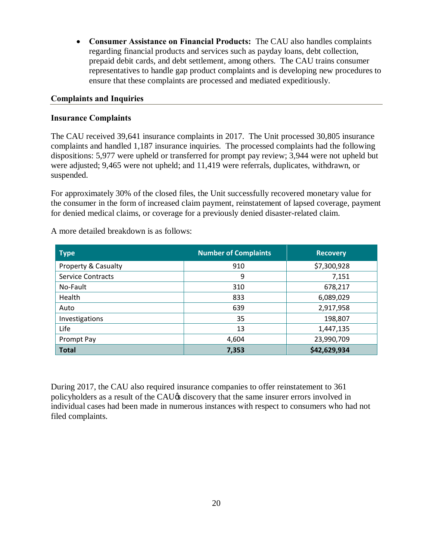• **Consumer Assistance on Financial Products:** The CAU also handles complaints regarding financial products and services such as payday loans, debt collection, prepaid debit cards, and debt settlement, among others. The CAU trains consumer representatives to handle gap product complaints and is developing new procedures to ensure that these complaints are processed and mediated expeditiously.

### **Complaints and Inquiries**

### **Insurance Complaints**

 The CAU received 39,641 insurance complaints in 2017. The Unit processed 30,805 insurance complaints and handled 1,187 insurance inquiries. The processed complaints had the following dispositions: 5,977 were upheld or transferred for prompt pay review; 3,944 were not upheld but were adjusted; 9,465 were not upheld; and 11,419 were referrals, duplicates, withdrawn, or suspended.

 For approximately 30% of the closed files, the Unit successfully recovered monetary value for the consumer in the form of increased claim payment, reinstatement of lapsed coverage, payment for denied medical claims, or coverage for a previously denied disaster-related claim.

A more detailed breakdown is as follows:

| <b>Type</b>                    | <b>Number of Complaints</b> | <b>Recovery</b> |
|--------------------------------|-----------------------------|-----------------|
| <b>Property &amp; Casualty</b> | 910                         | \$7,300,928     |
| <b>Service Contracts</b>       | 9                           | 7,151           |
| No-Fault                       | 310                         | 678,217         |
| Health                         | 833                         | 6,089,029       |
| Auto                           | 639                         | 2,917,958       |
| Investigations                 | 35                          | 198,807         |
| Life                           | 13                          | 1,447,135       |
| Prompt Pay                     | 4,604                       | 23,990,709      |
| <b>Total</b>                   | 7,353                       | \$42,629,934    |

 During 2017, the CAU also required insurance companies to offer reinstatement to 361 policyholders as a result of the CAU $\alpha$  discovery that the same insurer errors involved in individual cases had been made in numerous instances with respect to consumers who had not filed complaints.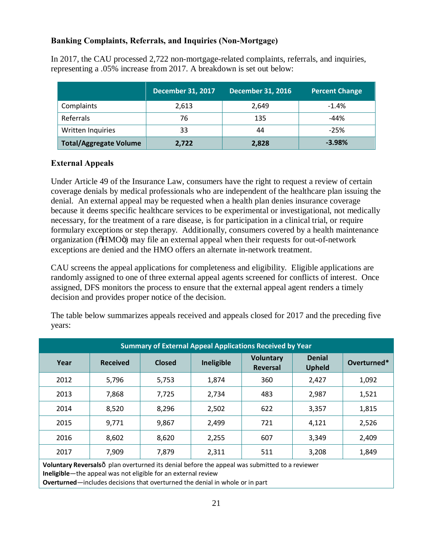# **Banking Complaints, Referrals, and Inquiries (Non-Mortgage)**

 In 2017, the CAU processed 2,722 non-mortgage-related complaints, referrals, and inquiries, representing a .05% increase from 2017. A breakdown is set out below:

|                               | <b>December 31, 2017</b> | <b>December 31, 2016</b> | <b>Percent Change</b> |
|-------------------------------|--------------------------|--------------------------|-----------------------|
| Complaints                    | 2,613                    | 2,649                    | $-1.4%$               |
| Referrals                     | 76                       | 135                      | $-44%$                |
| Written Inquiries             | 33                       | 44                       | $-25%$                |
| <b>Total/Aggregate Volume</b> | 2,722                    | 2,828                    | $-3.98%$              |

# **External Appeals**

 Under Article 49 of the Insurance Law, consumers have the right to request a review of certain coverage denials by medical professionals who are independent of the healthcare plan issuing the denial. An external appeal may be requested when a health plan denies insurance coverage because it deems specific healthcare services to be experimental or investigational, not medically necessary, for the treatment of a rare disease, is for participation in a clinical trial, or require formulary exceptions or step therapy. Additionally, consumers covered by a health maintenance organization (õHMOö) may file an external appeal when their requests for out-of-network exceptions are denied and the HMO offers an alternate in-network treatment.

 CAU screens the appeal applications for completeness and eligibility. Eligible applications are randomly assigned to one of three external appeal agents screened for conflicts of interest. Once assigned, DFS monitors the process to ensure that the external appeal agent renders a timely decision and provides proper notice of the decision.

 The table below summarizes appeals received and appeals closed for 2017 and the preceding five years:

| <b>Summary of External Appeal Applications Received by Year</b>                                                                                                |                 |               |            |                                     |                                |             |
|----------------------------------------------------------------------------------------------------------------------------------------------------------------|-----------------|---------------|------------|-------------------------------------|--------------------------------|-------------|
| Year                                                                                                                                                           | <b>Received</b> | <b>Closed</b> | Ineligible | <b>Voluntary</b><br><b>Reversal</b> | <b>Denial</b><br><b>Upheld</b> | Overturned* |
| 2012                                                                                                                                                           | 5,796           | 5,753         | 1,874      | 360                                 | 2,427                          | 1,092       |
| 2013                                                                                                                                                           | 7,868           | 7,725         | 2,734      | 483                                 | 2,987                          | 1,521       |
| 2014                                                                                                                                                           | 8,520           | 8,296         | 2,502      | 622                                 | 3,357                          | 1,815       |
| 2015                                                                                                                                                           | 9,771           | 9,867         | 2,499      | 721                                 | 4,121                          | 2,526       |
| 2016                                                                                                                                                           | 8,602           | 8,620         | 2,255      | 607                                 | 3,349                          | 2,409       |
| 2017                                                                                                                                                           | 7,909           | 7,879         | 2,311      | 511                                 | 3,208                          | 1,849       |
| Voluntary Reversalsô plan overturned its denial before the appeal was submitted to a reviewer<br>Inclinible the anneal was not eligible for an external review |                 |               |            |                                     |                                |             |

**Ineligible**—the appeal was not eligible for an external review

**Overturned**—includes decisions that overturned the denial in whole or in part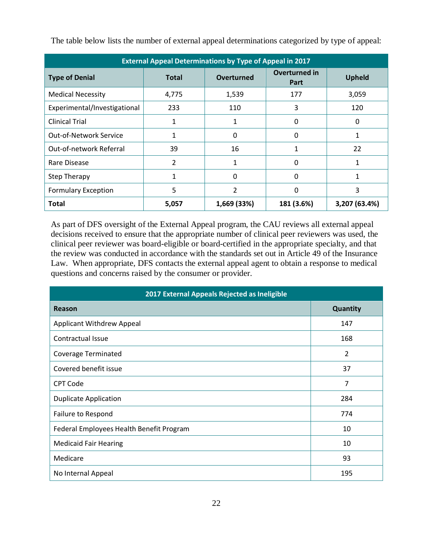| <b>External Appeal Determinations by Type of Appeal in 2017</b> |              |             |                              |               |  |
|-----------------------------------------------------------------|--------------|-------------|------------------------------|---------------|--|
| <b>Type of Denial</b>                                           | <b>Total</b> | Overturned  | Overturned in<br><b>Part</b> | <b>Upheld</b> |  |
| <b>Medical Necessity</b>                                        | 4,775        | 1,539       | 177                          | 3,059         |  |
| Experimental/Investigational                                    | 233          | 110         | 3                            | 120           |  |
| <b>Clinical Trial</b>                                           | 1            | 1           | 0                            | 0             |  |
| <b>Out-of-Network Service</b>                                   | 1            | 0           | 0                            | 1             |  |
| Out-of-network Referral                                         | 39           | 16          | 1                            | 22            |  |
| Rare Disease                                                    | 2            | 1           | 0                            | 1             |  |
| <b>Step Therapy</b>                                             |              | 0           | 0                            |               |  |
| <b>Formulary Exception</b>                                      | 5            | 2           | 0                            | 3             |  |
| Total                                                           | 5,057        | 1,669 (33%) | 181 (3.6%)                   | 3,207 (63.4%) |  |

The table below lists the number of external appeal determinations categorized by type of appeal:

 As part of DFS oversight of the External Appeal program, the CAU reviews all external appeal decisions received to ensure that the appropriate number of clinical peer reviewers was used, the clinical peer reviewer was board-eligible or board-certified in the appropriate specialty, and that the review was conducted in accordance with the standards set out in Article 49 of the Insurance Law. When appropriate, DFS contacts the external appeal agent to obtain a response to medical questions and concerns raised by the consumer or provider.

| 2017 External Appeals Rejected as Ineligible |          |  |  |  |
|----------------------------------------------|----------|--|--|--|
| Reason                                       | Quantity |  |  |  |
| Applicant Withdrew Appeal                    | 147      |  |  |  |
| Contractual Issue                            | 168      |  |  |  |
| <b>Coverage Terminated</b>                   | 2        |  |  |  |
| Covered benefit issue                        | 37       |  |  |  |
| <b>CPT Code</b>                              | 7        |  |  |  |
| <b>Duplicate Application</b>                 | 284      |  |  |  |
| Failure to Respond                           | 774      |  |  |  |
| Federal Employees Health Benefit Program     | 10       |  |  |  |
| <b>Medicaid Fair Hearing</b>                 | 10       |  |  |  |
| Medicare                                     | 93       |  |  |  |
| No Internal Appeal                           | 195      |  |  |  |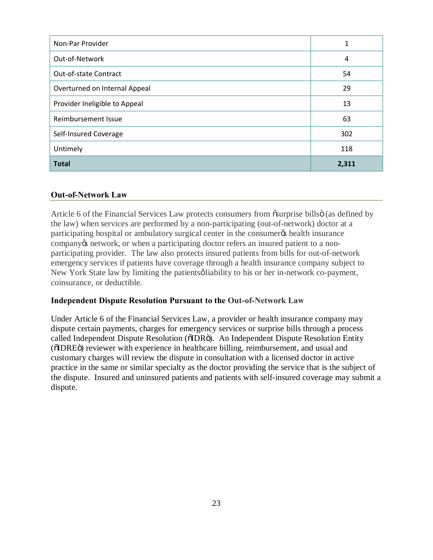| Non-Par Provider              | 1     |
|-------------------------------|-------|
| Out-of-Network                | 4     |
| Out-of-state Contract         | 54    |
| Overturned on Internal Appeal | 29    |
| Provider Ineligible to Appeal | 13    |
| Reimbursement Issue           | 63    |
| Self-Insured Coverage         | 302   |
| Untimely                      | 118   |
| <b>Total</b>                  | 2,311 |

### **Out-of-Network Law**

Article 6 of the Financial Services Law protects consumers from osurprise billsö (as defined by the law) when services are performed by a non-participating (out-of-network) doctor at a participating hospital or ambulatory surgical center in the consumer  $\alpha$  health insurance company os network, or when a participating doctor refers an insured patient to a non- participating provider. The law also protects insured patients from bills for out-of-network emergency services if patients have coverage through a health insurance company subject to New York State law by limiting the patientsø liability to his or her in-network co-payment, coinsurance, or deductible.

### **Independent Dispute Resolution Pursuant to the Out-of-Network Law**

 Under Article 6 of the Financial Services Law, a provider or health insurance company may dispute certain payments, charges for emergency services or surprise bills through a process called Independent Dispute Resolution (õIDRö). An Independent Dispute Resolution Entity ( $\delta$ IDRE $\ddot{\text{o}}$ ) reviewer with experience in healthcare billing, reimbursement, and usual and customary charges will review the dispute in consultation with a licensed doctor in active practice in the same or similar specialty as the doctor providing the service that is the subject of the dispute. Insured and uninsured patients and patients with self-insured coverage may submit a dispute. dispute.<br>23<br>23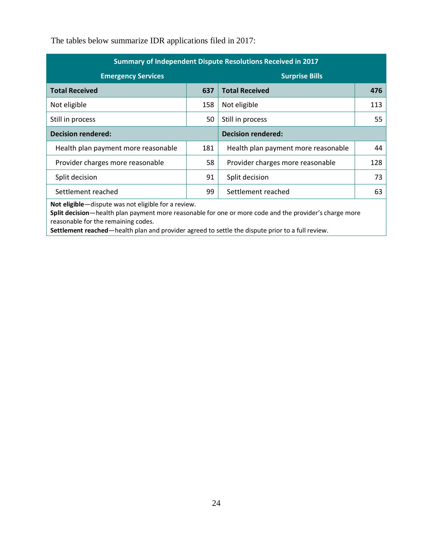The tables below summarize IDR applications filed in 2017:

| Summary of Independent Dispute Resolutions Received in 2017 |     |                                     |     |
|-------------------------------------------------------------|-----|-------------------------------------|-----|
| <b>Emergency Services</b>                                   |     | <b>Surprise Bills</b>               |     |
| <b>Total Received</b>                                       | 637 | <b>Total Received</b>               | 476 |
| Not eligible                                                | 158 | Not eligible                        | 113 |
| Still in process                                            | 50  | Still in process                    | 55  |
| <b>Decision rendered:</b>                                   |     | <b>Decision rendered:</b>           |     |
| Health plan payment more reasonable                         | 181 | Health plan payment more reasonable | 44  |
| Provider charges more reasonable                            | 58  | Provider charges more reasonable    | 128 |
| Split decision                                              | 91  | Split decision                      | 73  |
| Settlement reached                                          | 99  | Settlement reached                  | 63  |
|                                                             |     |                                     |     |

**Not eligible**—dispute was not eligible for a review.

 **Split decision**—health plan payment more reasonable for one or more code and the provider's charge more reasonable for the remaining codes.

**Settlement reached**—health plan and provider agreed to settle the dispute prior to a full review.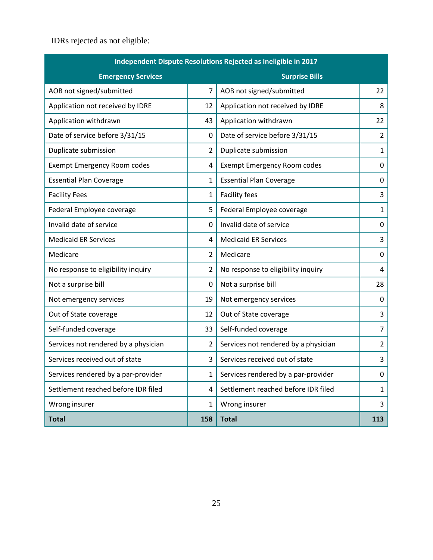IDRs rejected as not eligible:

| Independent Dispute Resolutions Rejected as Ineligible in 2017 |                |                                      |                |  |
|----------------------------------------------------------------|----------------|--------------------------------------|----------------|--|
| <b>Emergency Services</b>                                      |                | <b>Surprise Bills</b>                |                |  |
| AOB not signed/submitted                                       | $\overline{7}$ | AOB not signed/submitted             | 22             |  |
| Application not received by IDRE                               | 12             | Application not received by IDRE     | 8              |  |
| Application withdrawn                                          | 43             | Application withdrawn                | 22             |  |
| Date of service before 3/31/15                                 | 0              | Date of service before 3/31/15       | $\overline{2}$ |  |
| Duplicate submission                                           | 2              | Duplicate submission                 | $\mathbf{1}$   |  |
| <b>Exempt Emergency Room codes</b>                             | 4              | <b>Exempt Emergency Room codes</b>   | 0              |  |
| <b>Essential Plan Coverage</b>                                 | 1              | <b>Essential Plan Coverage</b>       | 0              |  |
| <b>Facility Fees</b>                                           | 1              | <b>Facility fees</b>                 | 3              |  |
| Federal Employee coverage                                      | 5              | Federal Employee coverage            | $\mathbf{1}$   |  |
| Invalid date of service                                        | 0              | Invalid date of service              | 0              |  |
| <b>Medicaid ER Services</b>                                    | 4              | <b>Medicaid ER Services</b>          | 3              |  |
| Medicare                                                       | $\overline{2}$ | Medicare                             | 0              |  |
| No response to eligibility inquiry                             | $\overline{2}$ | No response to eligibility inquiry   | 4              |  |
| Not a surprise bill                                            | 0              | Not a surprise bill                  | 28             |  |
| Not emergency services                                         | 19             | Not emergency services               | 0              |  |
| Out of State coverage                                          | 12             | Out of State coverage                | 3              |  |
| Self-funded coverage                                           | 33             | Self-funded coverage                 | $\overline{7}$ |  |
| Services not rendered by a physician                           | $\overline{2}$ | Services not rendered by a physician | 2              |  |
| Services received out of state                                 | 3              | Services received out of state       | 3              |  |
| Services rendered by a par-provider                            | 1              | Services rendered by a par-provider  | 0              |  |
| Settlement reached before IDR filed                            | 4              | Settlement reached before IDR filed  | $\mathbf{1}$   |  |
| Wrong insurer                                                  | 1              | Wrong insurer                        | 3              |  |
| <b>Total</b>                                                   | 158            | <b>Total</b>                         | 113            |  |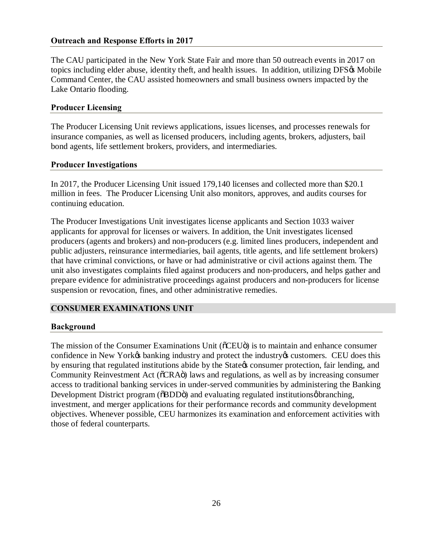# <span id="page-26-0"></span> **Outreach and Response Efforts in 2017**

 The CAU participated in the New York State Fair and more than 50 outreach events in 2017 on topics including elder abuse, identity theft, and health issues. In addition, utilizing DFS& Mobile Command Center, the CAU assisted homeowners and small business owners impacted by the Lake Ontario flooding.

# **Producer Licensing**

 The Producer Licensing Unit reviews applications, issues licenses, and processes renewals for insurance companies, as well as licensed producers, including agents, brokers, adjusters, bail bond agents, life settlement brokers, providers, and intermediaries.

### **Producer Investigations**

 In 2017, the Producer Licensing Unit issued 179,140 licenses and collected more than \$20.1 million in fees. The Producer Licensing Unit also monitors, approves, and audits courses for continuing education.

 The Producer Investigations Unit investigates license applicants and Section 1033 waiver applicants for approval for licenses or waivers. In addition, the Unit investigates licensed producers (agents and brokers) and non-producers (e.g. limited lines producers, independent and public adjusters, reinsurance intermediaries, bail agents, title agents, and life settlement brokers) that have criminal convictions, or have or had administrative or civil actions against them. The unit also investigates complaints filed against producers and non-producers, and helps gather and prepare evidence for administrative proceedings against producers and non-producers for license suspension or revocation, fines, and other administrative remedies.

# **CONSUMER EXAMINATIONS UNIT**

### **Background**

The mission of the Consumer Examinations Unit (õCEUö) is to maintain and enhance consumer confidence in New Yorkøs banking industry and protect the industry t customers. CEU does this by ensuring that regulated institutions abide by the State & consumer protection, fair lending, and Community Reinvestment Act ( $\delta$ CRA $\ddot{o}$ ) laws and regulations, as well as by increasing consumer access to traditional banking services in under-served communities by administering the Banking Development District program ( $\delta$ BDD $\ddot{\text{o}}$ ) and evaluating regulated institutionsøbranching, investment, and merger applications for their performance records and community development objectives. Whenever possible, CEU harmonizes its examination and enforcement activities with those of federal counterparts.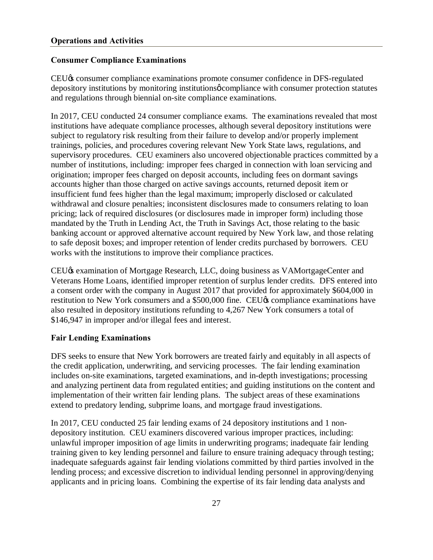# <span id="page-27-0"></span> **Consumer Compliance Examinations**

 CEU's consumer compliance examinations promote consumer confidence in DFS-regulated depository institutions by monitoring institutions o compliance with consumer protection statutes and regulations through biennial on-site compliance examinations.

 In 2017, CEU conducted 24 consumer compliance exams. The examinations revealed that most institutions have adequate compliance processes, although several depository institutions were subject to regulatory risk resulting from their failure to develop and/or properly implement trainings, policies, and procedures covering relevant New York State laws, regulations, and supervisory procedures. CEU examiners also uncovered objectionable practices committed by a number of institutions, including: improper fees charged in connection with loan servicing and origination; improper fees charged on deposit accounts, including fees on dormant savings accounts higher than those charged on active savings accounts, returned deposit item or insufficient fund fees higher than the legal maximum; improperly disclosed or calculated withdrawal and closure penalties; inconsistent disclosures made to consumers relating to loan pricing; lack of required disclosures (or disclosures made in improper form) including those mandated by the Truth in Lending Act, the Truth in Savings Act, those relating to the basic banking account or approved alternative account required by New York law, and those relating to safe deposit boxes; and improper retention of lender credits purchased by borrowers. CEU works with the institutions to improve their compliance practices.

CEU $\alpha$  examination of Mortgage Research, LLC, doing business as VAMortgageCenter and Veterans Home Loans, identified improper retention of surplus lender credits. DFS entered into a consent order with the company in August 2017 that provided for approximately \$604,000 in restitution to New York consumers and a \$500,000 fine. CEU $\alpha$  compliance examinations have also resulted in depository institutions refunding to 4,267 New York consumers a total of \$146,947 in improper and/or illegal fees and interest.

# **Fair Lending Examinations**

 DFS seeks to ensure that New York borrowers are treated fairly and equitably in all aspects of the credit application, underwriting, and servicing processes. The fair lending examination and analyzing pertinent data from regulated entities; and guiding institutions on the content and implementation of their written fair lending plans. The subject areas of these examinations extend to predatory lending, subprime loans, and mortgage fraud investigations. includes on-site examinations, targeted examinations, and in-depth investigations; processing

 In 2017, CEU conducted 25 fair lending exams of 24 depository institutions and 1 non- depository institution. CEU examiners discovered various improper practices, including: unlawful improper imposition of age limits in underwriting programs; inadequate fair lending training given to key lending personnel and failure to ensure training adequacy through testing; inadequate safeguards against fair lending violations committed by third parties involved in the lending process; and excessive discretion to individual lending personnel in approving/denying applicants and in pricing loans. Combining the expertise of its fair lending data analysts and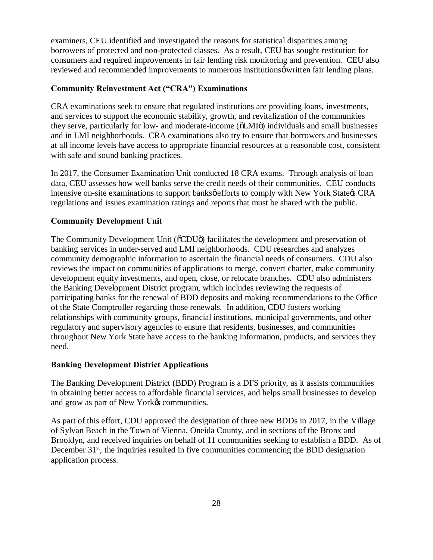examiners, CEU identified and investigated the reasons for statistical disparities among borrowers of protected and non-protected classes. As a result, CEU has sought restitution for consumers and required improvements in fair lending risk monitoring and prevention. CEU also reviewed and recommended improvements to numerous institutionsø written fair lending plans.

### **Community Reinvestment Act ("CRA") Examinations**

 and services to support the economic stability, growth, and revitalization of the communities they serve, particularly for low- and moderate-income ( $\ddot{o}LMI\ddot{o}$ ) individuals and small businesses and in LMI neighborhoods. CRA examinations also try to ensure that borrowers and businesses at all income levels have access to appropriate financial resources at a reasonable cost, consistent with safe and sound banking practices. CRA examinations seek to ensure that regulated institutions are providing loans, investments,

with safe and sound banking practices.<br>In 2017, the Consumer Examination Unit conducted 18 CRA exams. Through analysis of loan data, CEU assesses how well banks serve the credit needs of their communities. CEU conducts intensive on-site examinations to support banksøefforts to comply with New York State & CRA regulations and issues examination ratings and reports that must be shared with the public.

### **Community Development Unit**

The Community Development Unit (õCDUö) facilitates the development and preservation of banking services in under-served and LMI neighborhoods. CDU researches and analyzes community demographic information to ascertain the financial needs of consumers. CDU also reviews the impact on communities of applications to merge, convert charter, make community development equity investments, and open, close, or relocate branches. CDU also administers the Banking Development District program, which includes reviewing the requests of participating banks for the renewal of BDD deposits and making recommendations to the Office of the State Comptroller regarding those renewals. In addition, CDU fosters working relationships with community groups, financial institutions, municipal governments, and other regulatory and supervisory agencies to ensure that residents, businesses, and communities throughout New York State have access to the banking information, products, and services they need.

### **Banking Development District Applications**

 The Banking Development District (BDD) Program is a DFS priority, as it assists communities in obtaining better access to affordable financial services, and helps small businesses to develop and grow as part of New York $\alpha$  communities.

 As part of this effort, CDU approved the designation of three new BDDs in 2017, in the Village of Sylvan Beach in the Town of Vienna, Oneida County, and in sections of the Bronx and Brooklyn, and received inquiries on behalf of 11 communities seeking to establish a BDD. As of December  $31<sup>st</sup>$ , the inquiries resulted in five communities commencing the BDD designation application process.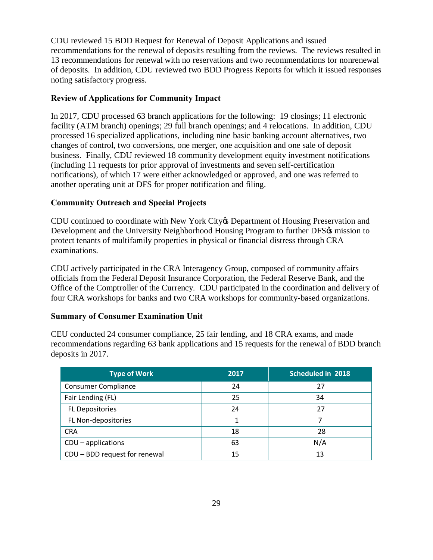CDU reviewed 15 BDD Request for Renewal of Deposit Applications and issued recommendations for the renewal of deposits resulting from the reviews. The reviews resulted in 13 recommendations for renewal with no reservations and two recommendations for nonrenewal of deposits. In addition, CDU reviewed two BDD Progress Reports for which it issued responses noting satisfactory progress.

# **Review of Applications for Community Impact**

 In 2017, CDU processed 63 branch applications for the following: 19 closings; 11 electronic facility (ATM branch) openings; 29 full branch openings; and 4 relocations. In addition, CDU processed 16 specialized applications, including nine basic banking account alternatives, two changes of control, two conversions, one merger, one acquisition and one sale of deposit business. Finally, CDU reviewed 18 community development equity investment notifications (including 11 requests for prior approval of investments and seven self-certification notifications), of which 17 were either acknowledged or approved, and one was referred to another operating unit at DFS for proper notification and filing.

# **Community Outreach and Special Projects**

CDU continued to coordinate with New York City & Department of Housing Preservation and Development and the University Neighborhood Housing Program to further DFS& mission to protect tenants of multifamily properties in physical or financial distress through CRA examinations

examinations.<br>CDU actively participated in the CRA Interagency Group, composed of community affairs officials from the Federal Deposit Insurance Corporation, the Federal Reserve Bank, and the Office of the Comptroller of the Currency. CDU participated in the coordination and delivery of four CRA workshops for banks and two CRA workshops for community-based organizations.

# **Summary of Consumer Examination Unit**

 CEU conducted 24 consumer compliance, 25 fair lending, and 18 CRA exams, and made recommendations regarding 63 bank applications and 15 requests for the renewal of BDD branch deposits in 2017.

| <b>Type of Work</b>           | 2017 | Scheduled in 2018 |
|-------------------------------|------|-------------------|
| <b>Consumer Compliance</b>    | 24   | 27                |
| Fair Lending (FL)             | 25   | 34                |
| <b>FL Depositories</b>        | 24   | 27                |
| FL Non-depositories           | 1    | 7                 |
| <b>CRA</b>                    | 18   | 28                |
| $CDU$ – applications          | 63   | N/A               |
| CDU - BDD request for renewal | 15   | 13                |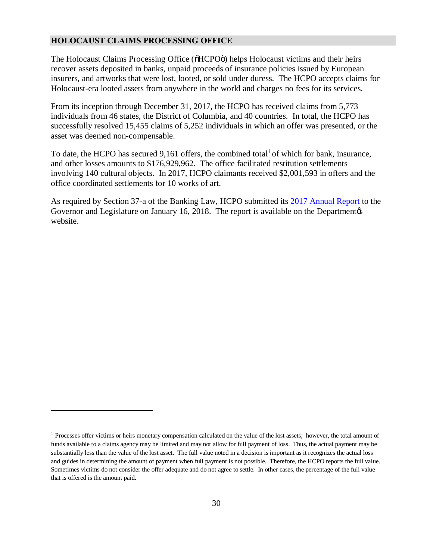#### <span id="page-30-0"></span>**HOLOCAUST CLAIMS PROCESSING OFFICE**

1

The Holocaust Claims Processing Office (OHCPOO) helps Holocaust victims and their heirs recover assets deposited in banks, unpaid proceeds of insurance policies issued by European insurers, and artworks that were lost, looted, or sold under duress. The HCPO accepts claims for Holocaust-era looted assets from anywhere in the world and charges no fees for its services.

 From its inception through December 31, 2017, the HCPO has received claims from 5,773 individuals from 46 states, the District of Columbia, and 40 countries. In total, the HCPO has successfully resolved 15,455 claims of 5,252 individuals in which an offer was presented, or the asset was deemed non-compensable.

To date, the HCPO has secured  $9,161$  offers, the combined total<sup>1</sup> of which for bank, insurance, and other losses amounts to \$176,929,962. The office facilitated restitution settlements involving 140 cultural objects. In 2017, HCPO claimants received \$2,001,593 in offers and the office coordinated settlements for 10 works of art.

As required by Section 37-a of the Banking Law, HCPO submitted its 2017 Annual Report to the Governor and Legislature on January 16, 2018. The report is available on the Department  $\alpha$ website.

<sup>&</sup>lt;sup>1</sup> Processes offer victims or heirs monetary compensation calculated on the value of the lost assets; however, the total amount of funds available to a claims agency may be limited and may not allow for full payment of loss. Thus, the actual payment may be substantially less than the value of the lost asset. The full value noted in a decision is important as it recognizes the actual loss and guides in determining the amount of payment when full payment is not possible. Therefore, the HCPO reports the full value. Sometimes victims do not consider the offer adequate and do not agree to settle. In other cases, the percentage of the full value that is offered is the amount paid.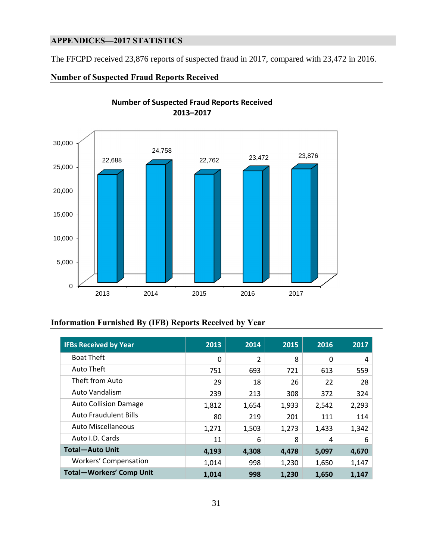# **APPENDICES—2017 STATISTICS**

The FFCPD received 23,876 reports of suspected fraud in 2017, compared with 23,472 in 2016.

### **Number of Suspected Fraud Reports Received**



### **Information Furnished By (IFB) Reports Received by Year**

| <b>IFBs Received by Year</b>    | 2013  | 2014  | 2015  | 2016  | 2017  |
|---------------------------------|-------|-------|-------|-------|-------|
| <b>Boat Theft</b>               | 0     | 2     | 8     | 0     | 4     |
| Auto Theft                      | 751   | 693   | 721   | 613   | 559   |
| Theft from Auto                 | 29    | 18    | 26    | 22    | 28    |
| Auto Vandalism                  | 239   | 213   | 308   | 372   | 324   |
| <b>Auto Collision Damage</b>    | 1,812 | 1,654 | 1,933 | 2,542 | 2,293 |
| <b>Auto Fraudulent Bills</b>    | 80    | 219   | 201   | 111   | 114   |
| <b>Auto Miscellaneous</b>       | 1,271 | 1,503 | 1,273 | 1,433 | 1,342 |
| Auto I.D. Cards                 | 11    | 6     | 8     | 4     | 6     |
| <b>Total-Auto Unit</b>          | 4,193 | 4,308 | 4,478 | 5,097 | 4,670 |
| <b>Workers' Compensation</b>    | 1,014 | 998   | 1,230 | 1,650 | 1,147 |
| <b>Total-Workers' Comp Unit</b> | 1,014 | 998   | 1,230 | 1,650 | 1,147 |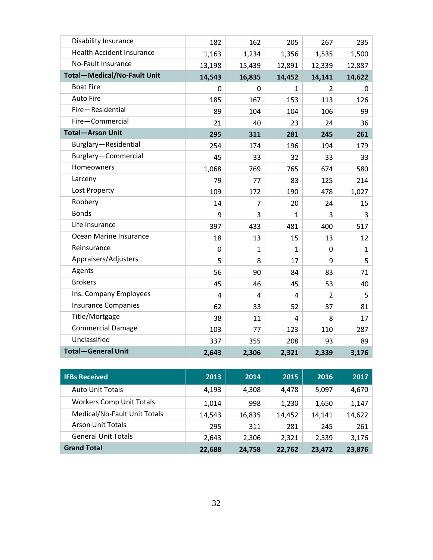| <b>Disability Insurance</b>        | 182    | 162            | 205            | 267            | 235          |
|------------------------------------|--------|----------------|----------------|----------------|--------------|
| <b>Health Accident Insurance</b>   | 1,163  | 1,234          | 1,356          | 1,535          | 1,500        |
| No-Fault Insurance                 | 13,198 | 15,439         | 12,891         | 12,339         | 12,887       |
| <b>Total-Medical/No-Fault Unit</b> | 14,543 | 16,835         | 14,452         | 14,141         | 14,622       |
| <b>Boat Fire</b>                   | 0      | 0              | 1              | $\overline{2}$ | 0            |
| <b>Auto Fire</b>                   | 185    | 167            | 153            | 113            | 126          |
| Fire-Residential                   | 89     | 104            | 104            | 106            | 99           |
| Fire-Commercial                    | 21     | 40             | 23             | 24             | 36           |
| <b>Total-Arson Unit</b>            | 295    | 311            | 281            | 245            | 261          |
| Burglary-Residential               | 254    | 174            | 196            | 194            | 179          |
| Burglary-Commercial                | 45     | 33             | 32             | 33             | 33           |
| Homeowners                         | 1,068  | 769            | 765            | 674            | 580          |
| Larceny                            | 79     | 77             | 83             | 125            | 214          |
| Lost Property                      | 109    | 172            | 190            | 478            | 1,027        |
| Robbery                            | 14     | $\overline{7}$ | 20             | 24             | 15           |
| <b>Bonds</b>                       | 9      | 3              | $\mathbf{1}$   | 3              | 3            |
| Life Insurance                     | 397    | 433            | 481            | 400            | 517          |
| Ocean Marine Insurance             | 18     | 13             | 15             | 13             | 12           |
| Reinsurance                        | 0      | 1              | 1              | $\mathbf 0$    | $\mathbf{1}$ |
| Appraisers/Adjusters               | 5      | 8              | 17             | 9              | 5            |
| Agents                             | 56     | 90             | 84             | 83             | 71           |
| <b>Brokers</b>                     | 45     | 46             | 45             | 53             | 40           |
| Ins. Company Employees             | 4      | 4              | 4              | $\overline{2}$ | 5            |
| <b>Insurance Companies</b>         | 62     | 33             | 52             | 37             | 81           |
| Title/Mortgage                     | 38     | 11             | $\overline{4}$ | 8              | 17           |
| <b>Commercial Damage</b>           | 103    | 77             | 123            | 110            | 287          |
| Unclassified                       | 337    | 355            | 208            | 93             | 89           |
| <b>Total-General Unit</b>          | 2,643  | 2,306          | 2,321          | 2,339          | 3,176        |

| <b>IFBs Received</b>            | 2013   | 2014   | 2015   | 2016   | 2017   |
|---------------------------------|--------|--------|--------|--------|--------|
| <b>Auto Unit Totals</b>         | 4.193  | 4,308  | 4.478  | 5,097  | 4,670  |
| <b>Workers Comp Unit Totals</b> | 1,014  | 998    | 1,230  | 1,650  | 1,147  |
| Medical/No-Fault Unit Totals    | 14,543 | 16,835 | 14,452 | 14.141 | 14,622 |
| <b>Arson Unit Totals</b>        | 295    | 311    | 281    | 245    | 261    |
| <b>General Unit Totals</b>      | 2,643  | 2,306  | 2,321  | 2,339  | 3,176  |
| <b>Grand Total</b>              | 22,688 | 24,758 | 22,762 | 23,472 | 23,876 |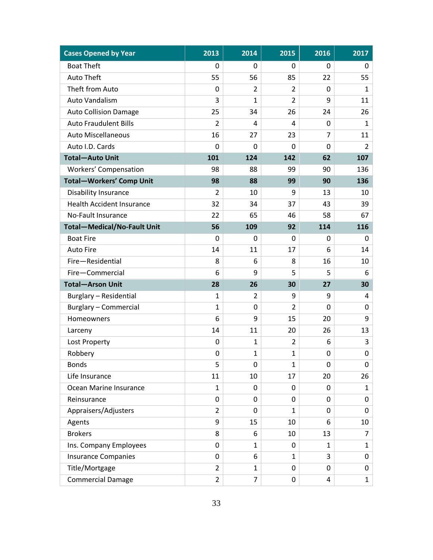| <b>Cases Opened by Year</b>        | 2013           | 2014           | 2015           | 2016           | 2017           |
|------------------------------------|----------------|----------------|----------------|----------------|----------------|
| <b>Boat Theft</b>                  | 0              | 0              | 0              | 0              | 0              |
| <b>Auto Theft</b>                  | 55             | 56             | 85             | 22             | 55             |
| Theft from Auto                    | 0              | 2              | $\overline{2}$ | 0              | 1              |
| Auto Vandalism                     | 3              | $\mathbf{1}$   | $\overline{2}$ | 9              | 11             |
| <b>Auto Collision Damage</b>       | 25             | 34             | 26             | 24             | 26             |
| <b>Auto Fraudulent Bills</b>       | $\overline{2}$ | 4              | $\overline{a}$ | 0              | $\mathbf{1}$   |
| <b>Auto Miscellaneous</b>          | 16             | 27             | 23             | $\overline{7}$ | 11             |
| Auto I.D. Cards                    | $\mathbf 0$    | $\Omega$       | $\Omega$       | $\Omega$       | $\overline{2}$ |
| <b>Total-Auto Unit</b>             | 101            | 124            | 142            | 62             | 107            |
| Workers' Compensation              | 98             | 88             | 99             | 90             | 136            |
| <b>Total-Workers' Comp Unit</b>    | 98             | 88             | 99             | 90             | 136            |
| Disability Insurance               | $\overline{2}$ | 10             | 9              | 13             | 10             |
| <b>Health Accident Insurance</b>   | 32             | 34             | 37             | 43             | 39             |
| No-Fault Insurance                 | 22             | 65             | 46             | 58             | 67             |
| <b>Total-Medical/No-Fault Unit</b> | 56             | 109            | 92             | 114            | 116            |
| <b>Boat Fire</b>                   | $\Omega$       | $\Omega$       | 0              | $\Omega$       | 0              |
| <b>Auto Fire</b>                   | 14             | 11             | 17             | 6              | 14             |
| Fire-Residential                   | 8              | 6              | 8              | 16             | 10             |
| Fire-Commercial                    | 6              | 9              | 5              | 5              | 6              |
| <b>Total-Arson Unit</b>            | 28             | 26             | 30             | 27             | 30             |
| Burglary - Residential             | $\mathbf{1}$   | $\overline{2}$ | 9              | 9              | 4              |
| <b>Burglary - Commercial</b>       | $\mathbf{1}$   | 0              | $\overline{2}$ | $\mathbf 0$    | 0              |
| Homeowners                         | 6              | 9              | 15             | 20             | 9              |
| Larceny                            | 14             | 11             | 20             | 26             | 13             |
| Lost Property                      | 0              | $\mathbf{1}$   | $\overline{2}$ | 6              | 3              |
| Robbery                            | 0              | $\mathbf{1}$   | $\mathbf{1}$   | 0              | 0              |
| <b>Bonds</b>                       | 5              | 0              | 1              | 0              | 0              |
| Life Insurance                     | 11             | 10             | 17             | 20             | 26             |
| Ocean Marine Insurance             | $\mathbf{1}$   | 0              | 0              | 0              | $\mathbf{1}$   |
| Reinsurance                        | 0              | 0              | 0              | 0              | 0              |
| Appraisers/Adjusters               | $\overline{2}$ | $\Omega$       | 1              | 0              | 0              |
| Agents                             | 9              | 15             | 10             | 6              | 10             |
| <b>Brokers</b>                     | 8              | 6              | 10             | 13             | $\overline{7}$ |
| Ins. Company Employees             | 0              | 1              | 0              | 1              | $\mathbf{1}$   |
| <b>Insurance Companies</b>         | 0              | 6              | $\mathbf{1}$   | 3              | 0              |
| Title/Mortgage                     | $\overline{2}$ | $\mathbf{1}$   | 0              | 0              | 0              |
| <b>Commercial Damage</b>           | $\overline{2}$ | $\overline{7}$ | 0              | $\overline{4}$ | $\mathbf{1}$   |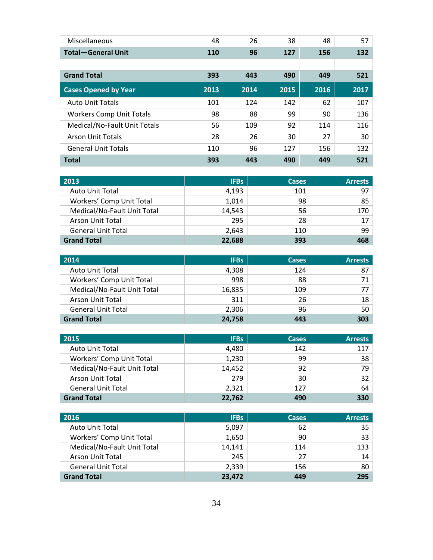| Miscellaneous                   | 48   | 26   | 38   | 48   | 57   |
|---------------------------------|------|------|------|------|------|
| <b>Total-General Unit</b>       | 110  | 96   | 127  | 156  | 132  |
|                                 |      |      |      |      |      |
| <b>Grand Total</b>              | 393  | 443  | 490  | 449  | 521  |
| <b>Cases Opened by Year</b>     | 2013 | 2014 | 2015 | 2016 | 2017 |
| <b>Auto Unit Totals</b>         | 101  | 124  | 142  | 62   | 107  |
| <b>Workers Comp Unit Totals</b> | 98   | 88   | 99   | 90   | 136  |
| Medical/No-Fault Unit Totals    | 56   | 109  | 92   | 114  | 116  |
| <b>Arson Unit Totals</b>        | 28   | 26   | 30   | 27   | 30   |
| <b>General Unit Totals</b>      | 110  | 96   | 127  | 156  | 132  |
| <b>Total</b>                    | 393  | 443  | 490  | 449  | 521  |

| 2013                        | <b>IFBs</b> | <b>Cases</b> | <b>Arrests</b>  |
|-----------------------------|-------------|--------------|-----------------|
| <b>Auto Unit Total</b>      | 4,193       | 101          | 97 <sup>1</sup> |
| Workers' Comp Unit Total    | 1,014       | 98           | 85              |
| Medical/No-Fault Unit Total | 14,543      | 56           | 170             |
| Arson Unit Total            | 295         | 28           | 17 <sup>1</sup> |
| <b>General Unit Total</b>   | 2,643       | 110          | 99              |
| <b>Grand Total</b>          | 22,688      | 393          | 468             |

| 2014                        | <b>IFBs</b> | <b>Cases</b> | <b>Arrests</b> |
|-----------------------------|-------------|--------------|----------------|
| <b>Auto Unit Total</b>      | 4,308       | 124          | 87             |
| Workers' Comp Unit Total    | 998         | 88           |                |
| Medical/No-Fault Unit Total | 16,835      | 109          |                |
| <b>Arson Unit Total</b>     | 311         | 26           | 18             |
| <b>General Unit Total</b>   | 2,306       | 96           | 50             |
| <b>Grand Total</b>          | 24,758      | 443          | 303            |

| 2015                        | <b>IFBs</b> | <b>Cases</b> | <b>Arrests</b> |
|-----------------------------|-------------|--------------|----------------|
| <b>Auto Unit Total</b>      | 4,480       | 142          | 117            |
| Workers' Comp Unit Total    | 1,230       | 99           | 38             |
| Medical/No-Fault Unit Total | 14,452      | 92           | 79.            |
| Arson Unit Total            | 279         | 30           | 32             |
| <b>General Unit Total</b>   | 2,321       | 127          | 64             |
| <b>Grand Total</b>          | 22,762      | 490          | 330            |

| 2016                        | <b>IFBs</b> | <b>Cases</b> | <b>Arrests</b>  |
|-----------------------------|-------------|--------------|-----------------|
| <b>Auto Unit Total</b>      | 5,097       | 62           | 35 <sup>1</sup> |
| Workers' Comp Unit Total    | 1,650       | 90           | 33              |
| Medical/No-Fault Unit Total | 14,141      | 114          | 133             |
| Arson Unit Total            | 245         | 27           | 14              |
| <b>General Unit Total</b>   | 2,339       | 156          | 80 <sup>1</sup> |
| <b>Grand Total</b>          | 23,472      | 449          | 295             |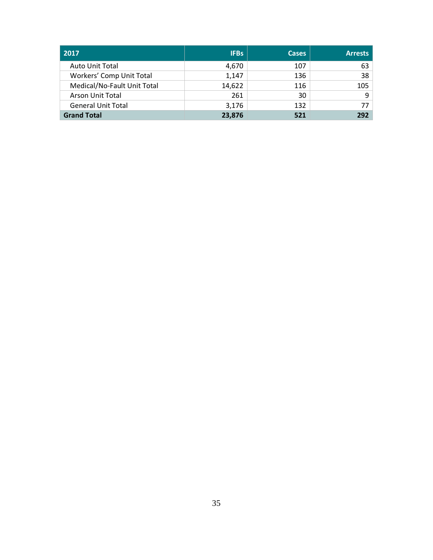| 2017                        | <b>IFBs</b> | <b>Cases</b> | <b>Arrests</b> |
|-----------------------------|-------------|--------------|----------------|
| <b>Auto Unit Total</b>      | 4,670       | 107          | 63             |
| Workers' Comp Unit Total    | 1,147       | 136          | 38             |
| Medical/No-Fault Unit Total | 14,622      | 116          | 105            |
| <b>Arson Unit Total</b>     | 261         | 30           |                |
| <b>General Unit Total</b>   | 3,176       | 132          | 77             |
| <b>Grand Total</b>          | 23,876      | 521          | 292            |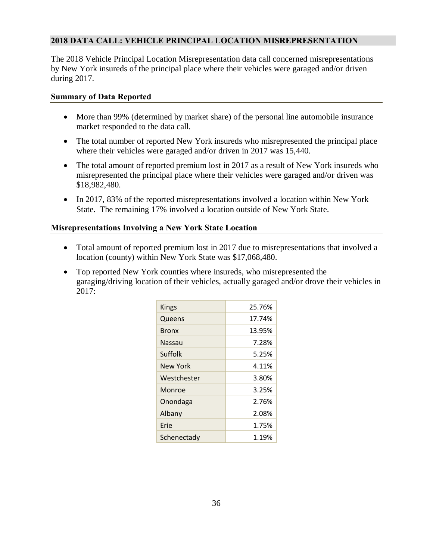# **2018 DATA CALL: VEHICLE PRINCIPAL LOCATION MISREPRESENTATION**

 The 2018 Vehicle Principal Location Misrepresentation data call concerned misrepresentations by New York insureds of the principal place where their vehicles were garaged and/or driven during 2017.

### **Summary of Data Reported**

- More than 99% (determined by market share) of the personal line automobile insurance market responded to the data call.
- • The total number of reported New York insureds who misrepresented the principal place where their vehicles were garaged and/or driven in 2017 was 15,440.
- The total amount of reported premium lost in 2017 as a result of New York insureds who misrepresented the principal place where their vehicles were garaged and/or driven was \$18,982,480.
- • In 2017, 83% of the reported misrepresentations involved a location within New York State. The remaining 17% involved a location outside of New York State.

### **Misrepresentations Involving a New York State Location**

- • Total amount of reported premium lost in 2017 due to misrepresentations that involved a location (county) within New York State was \$17,068,480.
- • Top reported New York counties where insureds, who misrepresented the garaging/driving location of their vehicles, actually garaged and/or drove their vehicles in 2017:

| Kings        | 25.76% |
|--------------|--------|
| Queens       | 17.74% |
| <b>Bronx</b> | 13.95% |
| Nassau       | 7.28%  |
| Suffolk      | 5.25%  |
| New York     | 4.11%  |
| Westchester  | 3.80%  |
| Monroe       | 3.25%  |
| Onondaga     | 2.76%  |
| Albany       | 2.08%  |
| Frie         | 1.75%  |
| Schenectady  | 1.19%  |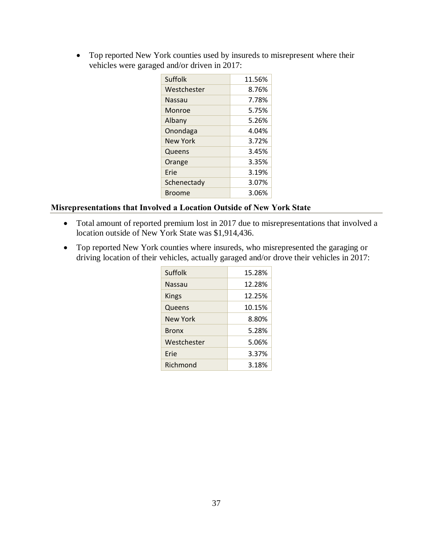• Top reported New York counties used by insureds to misrepresent where their vehicles were garaged and/or driven in 2017:

| Suffolk       | 11.56% |
|---------------|--------|
| Westchester   | 8.76%  |
| <b>Nassau</b> | 7.78%  |
| Monroe        | 5.75%  |
| Albany        | 5.26%  |
| Onondaga      | 4.04%  |
| New York      | 3.72%  |
| Queens        | 3.45%  |
| Orange        | 3.35%  |
| Frie          | 3.19%  |
| Schenectady   | 3.07%  |
| Broome        | 3.06%  |

# **Misrepresentations that Involved a Location Outside of New York State**

- • Total amount of reported premium lost in 2017 due to misrepresentations that involved a location outside of New York State was \$1,914,436.
- • Top reported New York counties where insureds, who misrepresented the garaging or driving location of their vehicles, actually garaged and/or drove their vehicles in 2017:

| Suffolk      | 15.28% |
|--------------|--------|
| Nassau       | 12.28% |
| Kings        | 12.25% |
| Queens       | 10.15% |
| New York     | 8.80%  |
| <b>Bronx</b> | 5.28%  |
| Westchester  | 5.06%  |
| Frie         | 3.37%  |
| Richmond     | 3.18%  |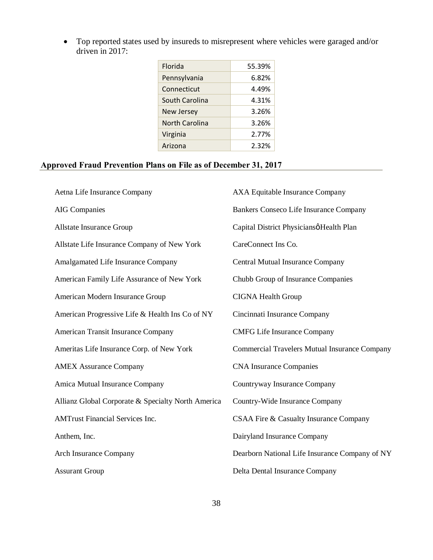• Top reported states used by insureds to misrepresent where vehicles were garaged and/or driven in 2017:

| Florida               | 55.39% |
|-----------------------|--------|
| Pennsylvania          | 6.82%  |
| Connecticut           | 4.49%  |
| South Carolina        | 4.31%  |
| <b>New Jersey</b>     | 3.26%  |
| <b>North Carolina</b> | 3.26%  |
| Virginia              | 2.77%  |
| Arizona               | 2.32%  |
|                       |        |

#### **Approved Fraud Prevention Plans on File as of December 31, 2017**

| Aetna Life Insurance Company                       | AXA Equitable Insurance Company                      |
|----------------------------------------------------|------------------------------------------------------|
| <b>AIG</b> Companies                               | Bankers Conseco Life Insurance Company               |
| Allstate Insurance Group                           | Capital District Physiciansø Health Plan             |
| Allstate Life Insurance Company of New York        | CareConnect Ins Co.                                  |
| Amalgamated Life Insurance Company                 | <b>Central Mutual Insurance Company</b>              |
| American Family Life Assurance of New York         | Chubb Group of Insurance Companies                   |
| American Modern Insurance Group                    | <b>CIGNA Health Group</b>                            |
| American Progressive Life & Health Ins Co of NY    | Cincinnati Insurance Company                         |
| American Transit Insurance Company                 | <b>CMFG Life Insurance Company</b>                   |
| Ameritas Life Insurance Corp. of New York          | <b>Commercial Travelers Mutual Insurance Company</b> |
| <b>AMEX Assurance Company</b>                      | <b>CNA Insurance Companies</b>                       |
| Amica Mutual Insurance Company                     | Countryway Insurance Company                         |
| Allianz Global Corporate & Specialty North America | Country-Wide Insurance Company                       |
| <b>AMTrust Financial Services Inc.</b>             | CSAA Fire & Casualty Insurance Company               |
| Anthem, Inc.                                       | Dairyland Insurance Company                          |
| <b>Arch Insurance Company</b>                      | Dearborn National Life Insurance Company of NY       |
| <b>Assurant Group</b>                              | Delta Dental Insurance Company                       |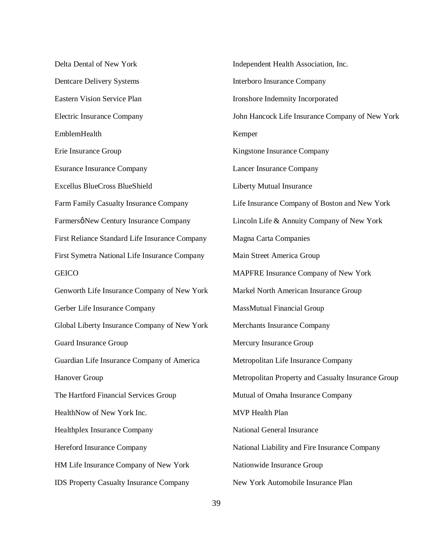Delta Dental of New York Dentcare Delivery Systems Eastern Vision Service Plan Electric Insurance Company Erie Insurance Group Esurance Insurance Company Farm Family Casualty Insurance Company Farmersø New Century Insurance Company First Reliance Standard Life Insurance Company First Symetra National Life Insurance Company Genworth Life Insurance Company of New York Gerber Life Insurance Company Global Liberty Insurance Company of New York Guard Insurance Group Guardian Life Insurance Company of America The Hartford Financial Services Group HealthNow of New York Inc. Hereford Insurance Company HM Life Insurance Company of New York IDS Property Casualty Insurance Company EmblemHealth Excellus BlueCross BlueShield **GEICO** Hanover Group Healthplex Insurance Company

 Independent Health Association, Inc. Interboro Insurance Company Ironshore Indemnity Incorporated John Hancock Life Insurance Company of New York Kingstone Insurance Company Lancer Insurance Company Liberty Mutual Insurance Life Insurance Company of Boston and New York Lincoln Life & Annuity Company of New York Magna Carta Companies Main Street America Group MAPFRE Insurance Company of New York Markel North American Insurance Group Mercury Insurance Group Metropolitan Life Insurance Company Metropolitan Property and Casualty Insurance Group Mutual of Omaha Insurance Company MVP Health Plan National General Insurance National Liability and Fire Insurance Company Nationwide Insurance Group New York Automobile Insurance Plan Kemper MassMutual Financial Group Merchants Insurance Company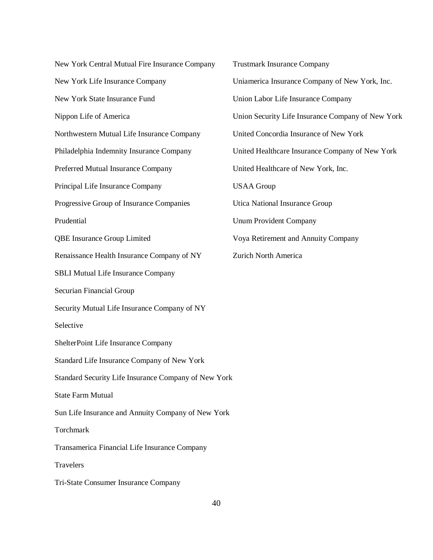New York Central Mutual Fire Insurance Company New York Life Insurance Company New York State Insurance Fund Nippon Life of America Northwestern Mutual Life Insurance Company Philadelphia Indemnity Insurance Company Preferred Mutual Insurance Company Principal Life Insurance Company Progressive Group of Insurance Companies Renaissance Health Insurance Company of NY SBLI Mutual Life Insurance Company Securian Financial Group Security Mutual Life Insurance Company of NY Selective Selective<br>ShelterPoint Life Insurance Company Standard Life Insurance Company of New York Standard Security Life Insurance Company of New York State Farm Mutual Sun Life Insurance and Annuity Company of New York Transamerica Financial Life Insurance Company Tri-State Consumer Insurance Company Prudential QBE Insurance Group Limited Torchmark **Travelers** 

 Trustmark Insurance Company Uniamerica Insurance Company of New York, Inc. Union Labor Life Insurance Company Union Security Life Insurance Company of New York United Concordia Insurance of New York United Healthcare Insurance Company of New York United Healthcare of New York, Inc. Utica National Insurance Group Unum Provident Company Voya Retirement and Annuity Company Zurich North America USAA Group